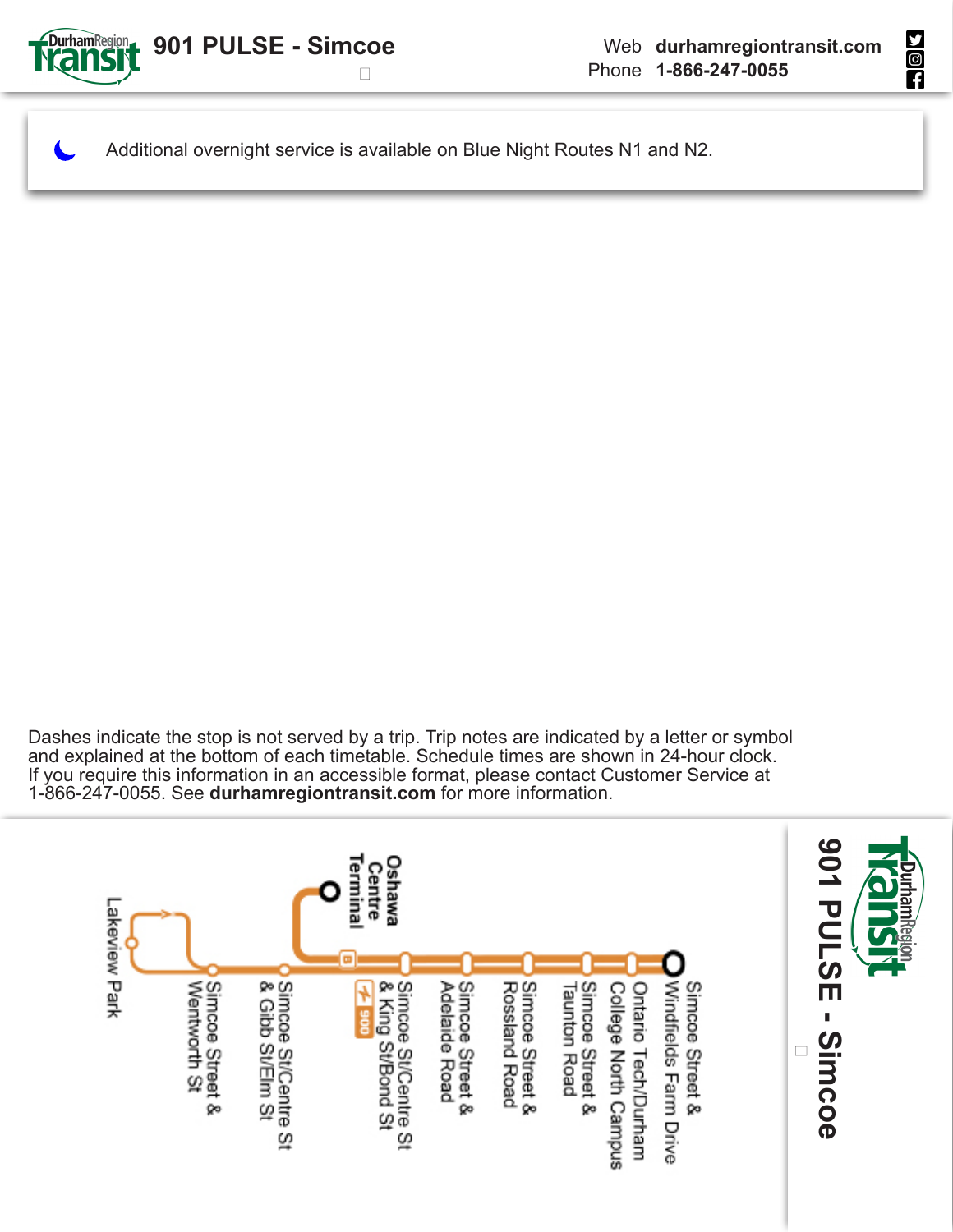

**MON** 

Additional overnight service is available on Blue Night Routes N1 and N2.

Dashes indicate the stop is not served by a trip. Trip notes are indicated by a letter or symbol and explained at the bottom of each timetable. Schedule times are shown in 24-hour clock. If you require this information in an accessible format, please contact Customer Service at 1-866-247-0055. See **durhamregiontransit.com** for more information.

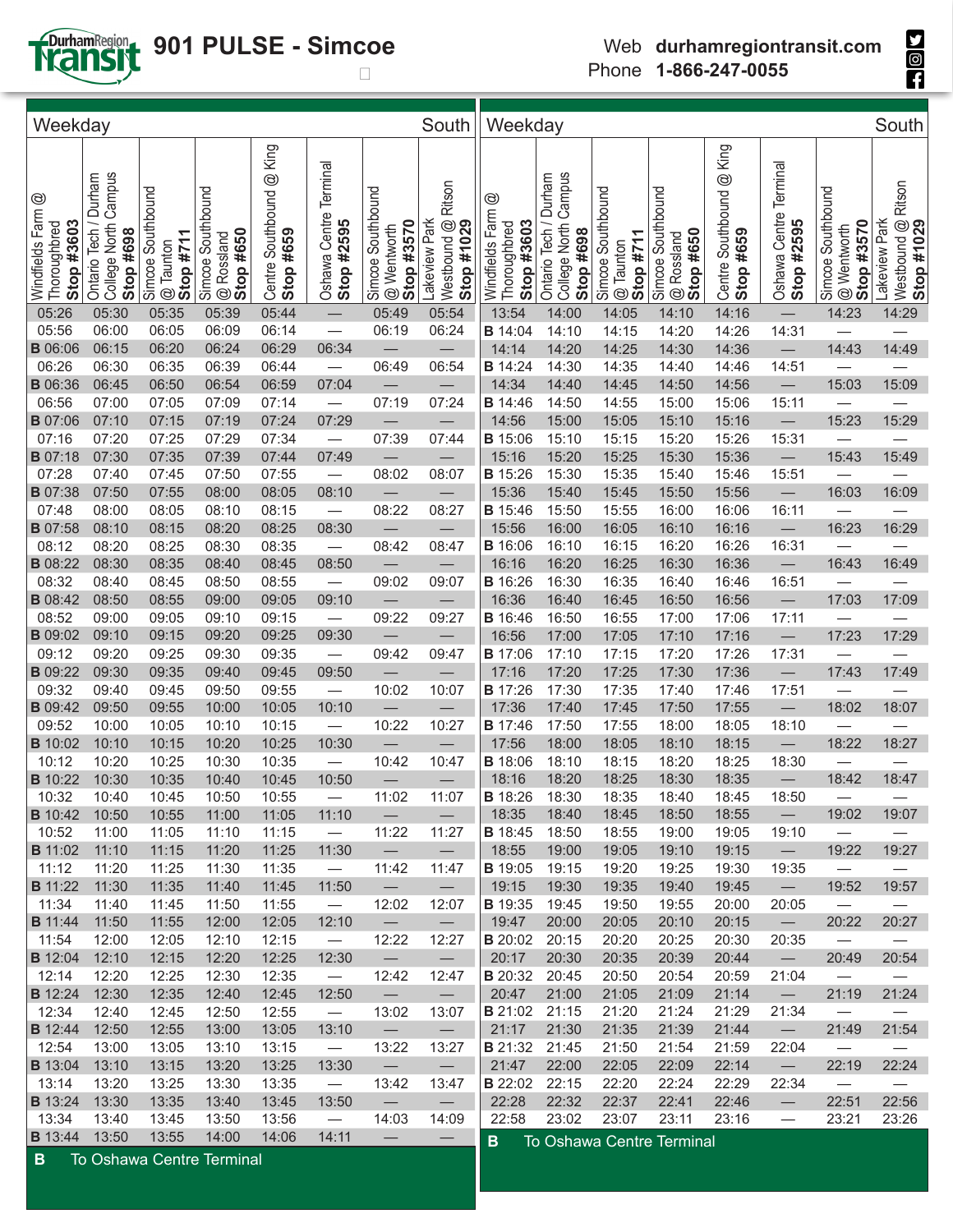

## **901 PULSE - Simcoe**

| Weekday                                                         |                                                                |                                                             |                                              |                                          |                                      |                                                | South                                                | Weekday                                            |                                                                  |                                               |                                                              |                                             |                                      |                                                | South                                                  |
|-----------------------------------------------------------------|----------------------------------------------------------------|-------------------------------------------------------------|----------------------------------------------|------------------------------------------|--------------------------------------|------------------------------------------------|------------------------------------------------------|----------------------------------------------------|------------------------------------------------------------------|-----------------------------------------------|--------------------------------------------------------------|---------------------------------------------|--------------------------------------|------------------------------------------------|--------------------------------------------------------|
| $^{\circledR}$<br>Windfields Farm<br>Stop #3603<br>Thoroughbred | Campus<br>Durham<br>College North<br>Ontario Tech<br>Stop #698 | Simcoe Southbound<br>Stop #711<br>Taunton<br>$^{\circledR}$ | Simcoe Southbound<br>@ Rossland<br>Stop #650 | @ King<br>Centre Southbound<br>Stop #659 | Oshawa Centre Terminal<br>Stop #2595 | Simcoe Southbound<br>Stop #3570<br>@ Wentworth | Ritson<br>Lakeview Park<br>Westbound @<br>Stop #1029 | ☺<br>Windfields Farm<br>Stop #3603<br>Thoroughbred | Campus<br>Durham<br>Ontario Tech /<br>College North<br>Stop #698 | Simcoe Southbound<br>Stop #711<br>$@$ Taunton | Simcoe Southbound<br>Stop #650<br>Rossland<br>$^{\circledR}$ | @ King<br>Southbound<br>Stop #659<br>Centre | Oshawa Centre Terminal<br>Stop #2595 | Simcoe Southbound<br>Stop #3570<br>@ Wentworth | Ritson<br>Lakeview Park<br>Nestbound @ F<br>Stop #1029 |
| 05:26                                                           | 05:30                                                          | 05:35                                                       | 05:39                                        | 05:44                                    |                                      | 05:49                                          | 05:54                                                | 13:54                                              | 14:00                                                            | 14:05                                         | 14:10                                                        | 14:16                                       |                                      | 14:23                                          | 14:29                                                  |
| 05:56                                                           | 06:00                                                          | 06:05                                                       | 06:09                                        | 06:14                                    |                                      | 06:19                                          | 06:24                                                | <b>B</b> 14:04                                     | 14:10                                                            | 14:15                                         | 14:20                                                        | 14:26                                       | 14:31                                |                                                |                                                        |
| <b>B</b> 06:06                                                  | 06:15                                                          | 06:20                                                       | 06:24                                        | 06:29                                    | 06:34                                |                                                |                                                      | 14:14                                              | 14:20                                                            | 14:25                                         | 14:30                                                        | 14:36                                       |                                      | 14:43                                          | 14:49                                                  |
| 06:26                                                           | 06:30                                                          | 06:35                                                       | 06:39                                        | 06:44                                    | $\overbrace{\qquad \qquad }^{}$      | 06:49                                          | 06:54                                                | <b>B</b> 14:24                                     | 14:30                                                            | 14:35                                         | 14:40                                                        | 14:46                                       | 14:51                                |                                                |                                                        |
| <b>B</b> 06:36                                                  | 06:45                                                          | 06:50                                                       | 06:54                                        | 06:59                                    | 07:04                                |                                                |                                                      | 14:34                                              | 14:40                                                            | 14:45                                         | 14:50                                                        | 14:56                                       |                                      | 15:03                                          | 15:09                                                  |
| 06:56                                                           | 07:00                                                          | 07:05                                                       | 07:09                                        | 07:14                                    |                                      | 07:19                                          | 07:24                                                | <b>B</b> 14:46                                     | 14:50                                                            | 14:55                                         | 15:00                                                        | 15:06                                       | 15:11                                |                                                |                                                        |
| <b>B</b> 07:06                                                  | 07:10                                                          | 07:15                                                       | 07:19                                        | 07:24                                    | 07:29                                |                                                |                                                      | 14:56                                              | 15:00                                                            | 15:05                                         | 15:10                                                        | 15:16                                       |                                      | 15:23                                          | 15:29                                                  |
| 07:16                                                           | 07:20                                                          | 07:25                                                       | 07:29                                        | 07:34                                    |                                      | 07:39                                          | 07:44                                                | <b>B</b> 15:06                                     | 15:10                                                            | 15:15                                         | 15:20                                                        | 15:26                                       | 15:31                                |                                                |                                                        |
| <b>B</b> 07:18<br>07:28                                         | 07:30                                                          | 07:35                                                       | 07:39<br>07:50                               | 07:44                                    | 07:49                                | ۰                                              |                                                      | 15:16                                              | 15:20                                                            | 15:25                                         | 15:30                                                        | 15:36                                       |                                      | 15:43                                          | 15:49                                                  |
| <b>B</b> 07:38                                                  | 07:40<br>07:50                                                 | 07:45<br>07:55                                              | 08:00                                        | 07:55<br>08:05                           | 08:10                                | 08:02<br>$\qquad \qquad -$                     | 08:07                                                | <b>B</b> 15:26<br>15:36                            | 15:30<br>15:40                                                   | 15:35<br>15:45                                | 15:40<br>15:50                                               | 15:46<br>15:56                              | 15:51                                | 16:03                                          | 16:09                                                  |
| 07:48                                                           | 08:00                                                          | 08:05                                                       | 08:10                                        | 08:15                                    |                                      | 08:22                                          | 08:27                                                | <b>B</b> 15:46                                     | 15:50                                                            | 15:55                                         | 16:00                                                        | 16:06                                       | 16:11                                |                                                |                                                        |
| <b>B</b> 07:58                                                  | 08:10                                                          | 08:15                                                       | 08:20                                        | 08:25                                    | 08:30                                | $\qquad \qquad -$                              | $\qquad \qquad -$                                    | 15:56                                              | 16:00                                                            | 16:05                                         | 16:10                                                        | 16:16                                       |                                      | 16:23                                          | 16:29                                                  |
| 08:12                                                           | 08:20                                                          | 08:25                                                       | 08:30                                        | 08:35                                    |                                      | 08:42                                          | 08:47                                                | <b>B</b> 16:06                                     | 16:10                                                            | 16:15                                         | 16:20                                                        | 16:26                                       | 16:31                                |                                                |                                                        |
| <b>B</b> 08:22                                                  | 08:30                                                          | 08:35                                                       | 08:40                                        | 08:45                                    | 08:50                                |                                                |                                                      | 16:16                                              | 16:20                                                            | 16:25                                         | 16:30                                                        | 16:36                                       |                                      | 16:43                                          | 16:49                                                  |
| 08:32                                                           | 08:40                                                          | 08:45                                                       | 08:50                                        | 08:55                                    | $\overline{\phantom{m}}$             | 09:02                                          | 09:07                                                | <b>B</b> 16:26                                     | 16:30                                                            | 16:35                                         | 16:40                                                        | 16:46                                       | 16:51                                | $\overline{\phantom{0}}$                       |                                                        |
| <b>B</b> 08:42                                                  | 08:50                                                          | 08:55                                                       | 09:00                                        | 09:05                                    | 09:10                                |                                                |                                                      | 16:36                                              | 16:40                                                            | 16:45                                         | 16:50                                                        | 16:56                                       |                                      | 17:03                                          | 17:09                                                  |
| 08:52                                                           | 09:00                                                          | 09:05                                                       | 09:10                                        | 09:15                                    | $\overbrace{\phantom{123221111}}$    | 09:22                                          | 09:27                                                | <b>B</b> 16:46                                     | 16:50                                                            | 16:55                                         | 17:00                                                        | 17:06                                       | 17:11                                |                                                |                                                        |
| <b>B</b> 09:02                                                  | 09:10                                                          | 09:15                                                       | 09:20                                        | 09:25                                    | 09:30                                |                                                |                                                      | 16:56                                              | 17:00                                                            | 17:05                                         | 17:10                                                        | 17:16                                       |                                      | 17:23                                          | 17:29                                                  |
| 09:12                                                           | 09:20                                                          | 09:25                                                       | 09:30                                        | 09:35                                    |                                      | 09:42                                          | 09:47                                                | <b>B</b> 17:06                                     | 17:10                                                            | 17:15                                         | 17:20                                                        | 17:26                                       | 17:31                                |                                                |                                                        |
| <b>B</b> 09:22                                                  | 09:30                                                          | 09:35                                                       | 09:40                                        | 09:45                                    | 09:50                                |                                                |                                                      | 17:16                                              | 17:20                                                            | 17:25                                         | 17:30                                                        | 17:36                                       |                                      | 17:43                                          | 17:49                                                  |
| 09:32                                                           | 09:40                                                          | 09:45                                                       | 09:50                                        | 09:55                                    |                                      | 10:02                                          | 10:07                                                | <b>B</b> 17:26                                     | 17:30                                                            | 17:35                                         | 17:40                                                        | 17:46                                       | 17:51                                | $\overline{\phantom{0}}$                       |                                                        |
| <b>B</b> 09:42                                                  | 09:50                                                          | 09:55                                                       | 10:00                                        | 10:05                                    | 10:10                                | $\overline{\phantom{0}}$                       |                                                      | 17:36                                              | 17:40                                                            | 17:45                                         | 17:50                                                        | 17:55                                       | $\qquad \qquad -$                    | 18:02                                          | 18:07                                                  |
| 09:52                                                           | 10:00                                                          | 10:05                                                       | 10:10                                        | 10:15                                    |                                      | 10:22                                          | 10:27                                                | <b>B</b> 17:46                                     | 17:50                                                            | 17:55                                         | 18:00                                                        | 18:05                                       | 18:10                                |                                                |                                                        |
| <b>B</b> 10:02                                                  | 10:10                                                          | 10:15                                                       | 10:20                                        | 10:25                                    | 10:30                                | $\qquad \qquad -$                              |                                                      | 17:56                                              | 18:00                                                            | 18:05                                         | 18:10                                                        | 18:15                                       |                                      | 18:22                                          | 18:27                                                  |
| 10:12                                                           | 10:20                                                          | 10:25                                                       | 10:30                                        | 10:35                                    |                                      | 10:42                                          | 10:47                                                | <b>B</b> 18:06                                     | 18:10                                                            | 18:15                                         | 18:20                                                        | 18:25                                       | 18:30                                |                                                |                                                        |
| <b>B</b> 10:22                                                  | 10:30                                                          | 10:35                                                       | 10:40                                        | 10:45                                    | 10:50                                |                                                |                                                      | 18:16                                              | 18:20                                                            | 18:25                                         | 18:30                                                        | 18:35                                       | $\qquad \qquad -$                    | 18:42                                          | 18:47                                                  |
| 10:32                                                           | 10:40                                                          | 10:45                                                       | 10:50                                        | 10:55                                    |                                      | 11:02                                          | 11:07                                                | <b>B</b> 18:26                                     | 18:30                                                            | 18:35                                         | 18:40                                                        | 18:45                                       | 18:50                                |                                                |                                                        |
| <b>B</b> 10:42                                                  | 10:50                                                          | 10:55                                                       | 11:00                                        | 11:05                                    | 11:10                                | $\overline{\phantom{m}}$                       | $\overline{\phantom{m}}$                             | 18:35                                              | 18:40                                                            | 18:45                                         | 18:50                                                        | 18:55                                       | $\overline{\phantom{m}}$             | 19:02                                          | 19:07                                                  |
| 10:52                                                           | 11:00                                                          | 11:05                                                       | 11:10                                        | 11:15                                    | $\overline{\phantom{m}}$             | 11:22                                          | 11:27                                                | <b>B</b> 18:45                                     | 18:50                                                            | 18:55                                         | 19:00                                                        | 19:05                                       | 19:10                                | $\overline{\phantom{m}}$                       |                                                        |
| <b>B</b> 11:02                                                  | 11:10                                                          | 11:15                                                       | 11:20                                        | 11:25                                    | 11:30                                | $\overline{\phantom{0}}$                       | $\overline{\phantom{m}}$                             | 18:55                                              | 19:00                                                            | 19:05                                         | 19:10                                                        | 19:15                                       | $\overline{\phantom{m}}$             | 19:22                                          | 19:27                                                  |
| 11:12                                                           | 11:20                                                          | 11:25                                                       | 11:30                                        | 11:35                                    | $\overline{\phantom{m}}$             | 11:42                                          | 11:47                                                | <b>B</b> 19:05                                     | 19:15                                                            | 19:20                                         | 19:25                                                        | 19:30                                       | 19:35                                | $\overline{\phantom{0}}$                       |                                                        |
| <b>B</b> 11:22                                                  | 11:30                                                          | 11:35                                                       | 11:40                                        | 11:45                                    | 11:50                                | $\qquad \qquad -$                              | $\overline{\phantom{0}}$                             | 19:15                                              | 19:30                                                            | 19:35                                         | 19:40                                                        | 19:45                                       | $\overline{\phantom{m}}$             | 19:52                                          | 19:57                                                  |
| 11:34                                                           | 11:40                                                          | 11:45                                                       | 11:50                                        | 11:55                                    | $\overline{\phantom{m}}$             | 12:02                                          | 12:07                                                | <b>B</b> 19:35                                     | 19:45                                                            | 19:50                                         | 19:55                                                        | 20:00                                       | 20:05<br>$\overline{\phantom{m}}$    | $\overline{\phantom{m}}$                       |                                                        |
| <b>B</b> 11:44<br>11:54                                         | 11:50<br>12:00                                                 | 11:55<br>12:05                                              | 12:00                                        | 12:05                                    | 12:10                                | $\overline{\phantom{m}}$<br>12:22              | $\overline{\phantom{m}}$<br>12:27                    | 19:47<br><b>B</b> 20:02                            | 20:00<br>20:15                                                   | 20:05<br>20:20                                | 20:10<br>20:25                                               | 20:15                                       |                                      | 20:22                                          | 20:27                                                  |
| <b>B</b> 12:04                                                  | 12:10                                                          | 12:15                                                       | 12:10<br>12:20                               | 12:15<br>12:25                           | $\overline{\phantom{m}}$             | $\overline{\phantom{m}}$                       | $\overline{\phantom{0}}$                             | 20:17                                              | 20:30                                                            | 20:35                                         | 20:39                                                        | 20:30<br>20:44                              | 20:35<br>$\overline{\phantom{m}}$    | $\overline{\phantom{m}}$<br>20:49              |                                                        |
| 12:14                                                           | 12:20                                                          | 12:25                                                       | 12:30                                        | 12:35                                    | 12:30<br>$\overline{\phantom{m}}$    | 12:42                                          | 12:47                                                | <b>B</b> 20:32                                     | 20:45                                                            | 20:50                                         | 20:54                                                        | 20:59                                       | 21:04                                | $\overline{\phantom{m}}$                       | 20:54<br>$\overline{\phantom{0}}$                      |
| <b>B</b> 12:24                                                  | 12:30                                                          | 12:35                                                       | 12:40                                        | 12:45                                    | 12:50                                | $\overline{\phantom{m}}$                       | $\overline{\phantom{m}}$                             | 20:47                                              | 21:00                                                            | 21:05                                         | 21:09                                                        | 21:14                                       | $\overline{\phantom{m}}$             | 21:19                                          | 21:24                                                  |
| 12:34                                                           | 12:40                                                          | 12:45                                                       | 12:50                                        | 12:55                                    | $\overline{\phantom{m}}$             | 13:02                                          | 13:07                                                | <b>B</b> 21:02                                     | 21:15                                                            | 21:20                                         | 21:24                                                        | 21:29                                       | 21:34                                | $\overline{\phantom{m}}$                       |                                                        |
| <b>B</b> 12:44                                                  | 12:50                                                          | 12:55                                                       | 13:00                                        | 13:05                                    | 13:10                                | $\overline{\phantom{0}}$                       | $\overline{\phantom{m}}$                             | 21:17                                              | 21:30                                                            | 21:35                                         | 21:39                                                        | 21:44                                       | $\overline{\phantom{m}}$             | 21:49                                          | 21:54                                                  |
| 12:54                                                           | 13:00                                                          | 13:05                                                       | 13:10                                        | 13:15                                    | $\overline{\phantom{m}}$             | 13:22                                          | 13:27                                                | <b>B</b> 21:32                                     | 21:45                                                            | 21:50                                         | 21:54                                                        | 21:59                                       | 22:04                                | $\overline{\phantom{0}}$                       |                                                        |
| <b>B</b> 13:04                                                  | 13:10                                                          | 13:15                                                       | 13:20                                        | 13:25                                    | 13:30                                | $\overline{\phantom{0}}$                       | $\overline{\phantom{m}}$                             | 21:47                                              | 22:00                                                            | 22:05                                         | 22:09                                                        | 22:14                                       | $\overline{\phantom{m}}$             | 22:19                                          | 22:24                                                  |
| 13:14                                                           | 13:20                                                          | 13:25                                                       | 13:30                                        | 13:35                                    | $\overline{\phantom{m}}$             | 13:42                                          | 13:47                                                | <b>B</b> 22:02                                     | 22:15                                                            | 22:20                                         | 22:24                                                        | 22:29                                       | 22:34                                | $\overline{\phantom{m}}$                       |                                                        |
| <b>B</b> 13:24                                                  | 13:30                                                          | 13:35                                                       | 13:40                                        | 13:45                                    | 13:50                                | $\overline{\phantom{0}}$                       | $\overline{\phantom{m}}$                             | 22:28                                              | 22:32                                                            | 22:37                                         | 22:41                                                        | 22:46                                       | $\qquad \qquad -$                    | 22:51                                          | 22:56                                                  |
| 13:34                                                           | 13:40                                                          | 13:45                                                       | 13:50                                        | 13:56                                    | $\overline{\phantom{m}}$             | 14:03                                          | 14:09                                                | 22:58                                              | 23:02                                                            | 23:07                                         | 23:11                                                        | 23:16                                       | $\overline{\phantom{0}}$             | 23:21                                          | 23:26                                                  |
| <b>B</b> 13:44                                                  | 13:50                                                          | 13:55                                                       | 14:00                                        | 14:06                                    | 14:11                                | $\overline{\phantom{0}}$                       | $\overline{\phantom{m}}$                             | $\mathbf{B}$                                       |                                                                  | To Oshawa Centre Terminal                     |                                                              |                                             |                                      |                                                |                                                        |
| B                                                               |                                                                | To Oshawa Centre Terminal                                   |                                              |                                          |                                      |                                                |                                                      |                                                    |                                                                  |                                               |                                                              |                                             |                                      |                                                |                                                        |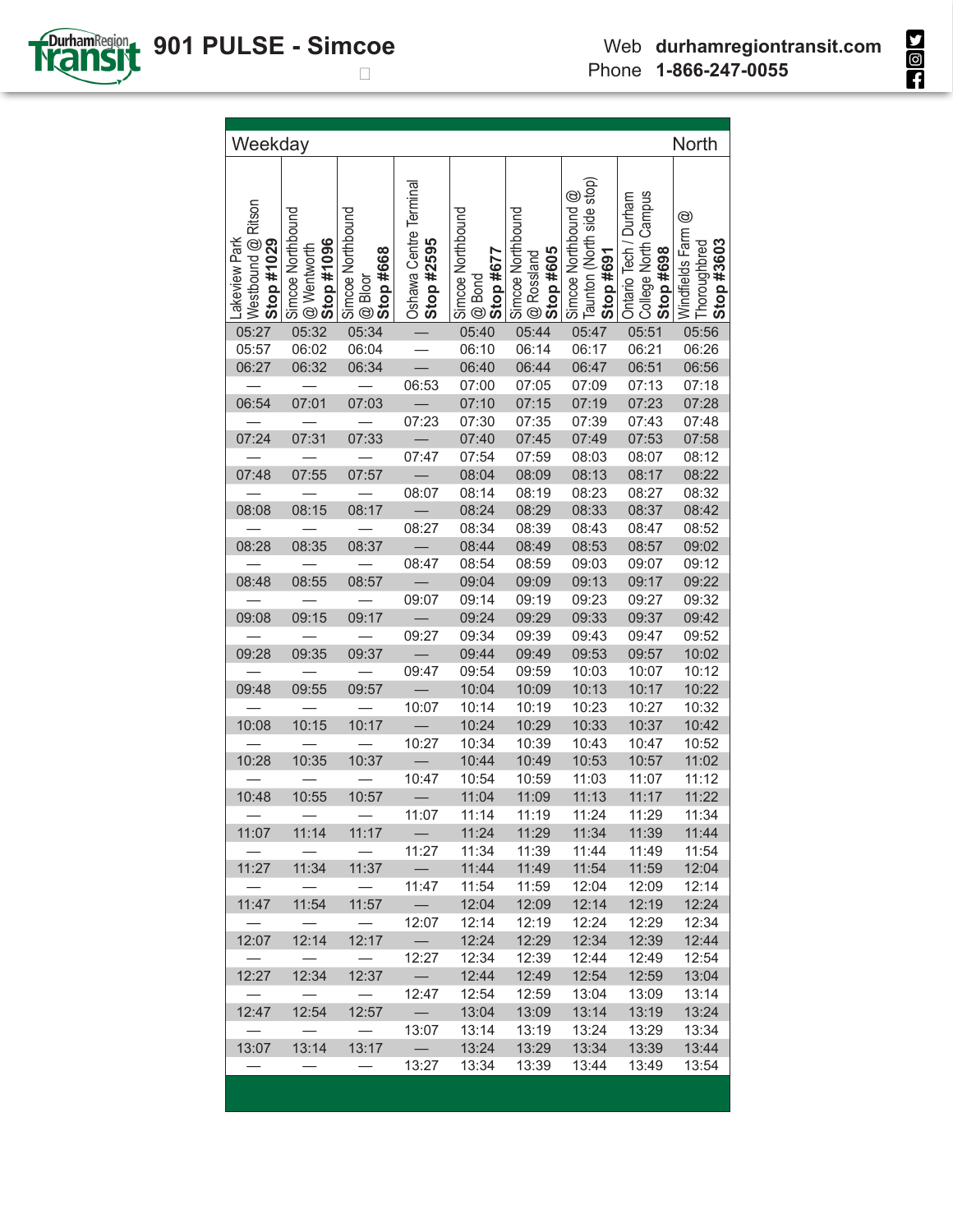| Weekday                                           |                                                       |                                                  |                                      |                                            |                                                     |                                                               |                                                            | <b>North</b>                                                    |
|---------------------------------------------------|-------------------------------------------------------|--------------------------------------------------|--------------------------------------|--------------------------------------------|-----------------------------------------------------|---------------------------------------------------------------|------------------------------------------------------------|-----------------------------------------------------------------|
| Westbound @ Ritson<br>Lakeview Park<br>Stop #1029 | Simcoe Northbound<br><b>@</b> Wentworth<br>Stop #1096 | Simcoe Northbound<br><b>@ Bloor</b><br>Stop #668 | Oshawa Centre Terminal<br>Stop #2595 | Simcoe Northbound<br>$@$ Bond<br>Stop #677 | Simcoe Northbound<br><b>@ Rossland</b><br>Stop #605 | Taunton (North side stop)<br>Simcoe Northbound @<br>Stop #691 | College North Campus<br>Ontario Tech / Durham<br>Stop #698 | $^{\circledR}$<br>Windfields Farm<br>Stop #3603<br>Thoroughbred |
| 05:27                                             | 05:32                                                 | 05:34                                            |                                      | 05:40                                      | 05:44                                               | 05:47                                                         | 05:51                                                      | 05:56                                                           |
| 05:57                                             | 06:02                                                 | 06:04                                            |                                      | 06:10                                      | 06:14                                               | 06:17                                                         | 06:21                                                      | 06:26                                                           |
| 06:27                                             | 06:32                                                 | 06:34                                            |                                      | 06:40                                      | 06:44                                               | 06:47                                                         | 06:51                                                      | 06:56                                                           |
|                                                   |                                                       |                                                  | 06:53                                | 07:00                                      | 07:05                                               | 07:09                                                         | 07:13                                                      | 07:18                                                           |
| 06:54                                             | 07:01                                                 | 07:03                                            |                                      | 07:10                                      | 07:15                                               | 07:19                                                         | 07:23                                                      | 07:28                                                           |
| 07:24                                             | 07:31                                                 | 07:33                                            | 07:23                                | 07:30<br>07:40                             | 07:35<br>07:45                                      | 07:39                                                         | 07:43<br>07:53                                             | 07:48<br>07:58                                                  |
|                                                   |                                                       |                                                  | 07:47                                | 07:54                                      | 07:59                                               | 07:49                                                         | 08:07                                                      | 08:12                                                           |
| 07:48                                             | 07:55                                                 | 07:57                                            |                                      | 08:04                                      | 08:09                                               | 08:03<br>08:13                                                | 08:17                                                      | 08:22                                                           |
|                                                   |                                                       |                                                  | 08:07                                | 08:14                                      | 08:19                                               | 08:23                                                         | 08:27                                                      | 08:32                                                           |
| 08:08                                             | 08:15                                                 | 08:17                                            |                                      | 08:24                                      | 08:29                                               | 08:33                                                         | 08:37                                                      | 08:42                                                           |
|                                                   |                                                       |                                                  | 08:27                                | 08:34                                      | 08:39                                               | 08:43                                                         | 08:47                                                      | 08:52                                                           |
| 08:28                                             | 08:35                                                 | 08:37                                            |                                      | 08:44                                      | 08:49                                               | 08:53                                                         | 08:57                                                      | 09:02                                                           |
|                                                   |                                                       |                                                  | 08:47                                | 08:54                                      | 08:59                                               | 09:03                                                         | 09:07                                                      | 09:12                                                           |
| 08:48                                             | 08:55                                                 | 08:57                                            | $\overline{\phantom{0}}$             | 09:04                                      | 09:09                                               | 09:13                                                         | 09:17                                                      | 09:22                                                           |
|                                                   |                                                       |                                                  | 09:07                                | 09:14                                      | 09:19                                               | 09:23                                                         | 09:27                                                      | 09:32                                                           |
| 09:08                                             | 09:15                                                 | 09:17                                            |                                      | 09:24                                      | 09:29                                               | 09:33                                                         | 09:37                                                      | 09:42                                                           |
|                                                   |                                                       |                                                  | 09:27                                | 09:34                                      | 09:39                                               | 09:43                                                         | 09:47                                                      | 09:52                                                           |
| 09:28                                             | 09:35                                                 | 09:37                                            |                                      | 09:44                                      | 09:49                                               | 09:53                                                         | 09:57                                                      | 10:02                                                           |
|                                                   |                                                       |                                                  | 09:47                                | 09:54                                      | 09:59                                               | 10:03                                                         | 10:07                                                      | 10:12                                                           |
| 09:48                                             | 09:55                                                 | 09:57                                            |                                      | 10:04                                      | 10:09                                               | 10:13                                                         | 10:17                                                      | 10:22                                                           |
|                                                   |                                                       |                                                  | 10:07                                | 10:14                                      | 10:19                                               | 10:23                                                         | 10:27                                                      | 10:32                                                           |
| 10:08                                             | 10:15                                                 | 10:17                                            |                                      | 10:24                                      | 10:29                                               | 10:33                                                         | 10:37                                                      | 10:42                                                           |
|                                                   |                                                       |                                                  | 10:27                                | 10:34                                      | 10:39                                               | 10:43                                                         | 10:47                                                      | 10:52                                                           |
| 10:28                                             | 10:35                                                 | 10:37                                            |                                      | 10:44                                      | 10:49                                               | 10:53                                                         | 10:57                                                      | 11:02                                                           |
|                                                   |                                                       |                                                  | 10:47                                | 10:54                                      | 10:59                                               | 11:03                                                         | 11:07                                                      | 11:12                                                           |
| 10:48                                             | 10:55                                                 | 10:57                                            |                                      | 11:04                                      | 11:09                                               | 11:13                                                         | 11:17                                                      | 11:22                                                           |
|                                                   |                                                       |                                                  | 11:07                                | 11:14                                      | 11:19                                               | 11:24                                                         | 11:29                                                      | 11:34                                                           |
| 11:07                                             | 11:14                                                 | 11:17                                            | $\overline{\phantom{0}}$             | 11:24                                      | 11:29                                               | 11:34                                                         | 11:39                                                      | 11:44                                                           |
|                                                   |                                                       |                                                  | 11:27                                | 11:34                                      | 11:39                                               | 11:44                                                         | 11:49                                                      | 11:54                                                           |
| 11:27                                             | 11:34                                                 | 11:37                                            | $\overline{\phantom{m}}$             | 11:44                                      | 11:49                                               | 11:54                                                         | 11:59                                                      | 12:04                                                           |
|                                                   |                                                       |                                                  | 11:47                                | 11:54                                      | 11:59                                               | 12:04                                                         | 12:09                                                      | 12:14                                                           |
| 11:47                                             | 11:54                                                 | 11:57                                            | $\qquad \qquad -$                    | 12:04                                      | 12:09                                               | 12:14                                                         | 12:19                                                      | 12:24                                                           |
| 12:07                                             | 12:14                                                 | 12:17                                            | 12:07                                | 12:14<br>12:24                             | 12:19<br>12:29                                      | 12:24<br>12:34                                                | 12:29<br>12:39                                             | 12:34<br>12:44                                                  |
|                                                   |                                                       |                                                  | 12:27                                | 12:34                                      | 12:39                                               | 12:44                                                         | 12:49                                                      | 12:54                                                           |
| 12:27                                             | 12:34                                                 | 12:37                                            | $\qquad \qquad -$                    | 12:44                                      | 12:49                                               | 12:54                                                         | 12:59                                                      | 13:04                                                           |
|                                                   |                                                       |                                                  | 12:47                                | 12:54                                      | 12:59                                               | 13:04                                                         | 13:09                                                      | 13:14                                                           |
| 12:47                                             | 12:54                                                 | 12:57                                            | $\overline{\phantom{0}}$             | 13:04                                      | 13:09                                               | 13:14                                                         | 13:19                                                      | 13:24                                                           |
|                                                   |                                                       |                                                  | 13:07                                | 13:14                                      | 13:19                                               | 13:24                                                         | 13:29                                                      | 13:34                                                           |
| 13:07                                             | 13:14                                                 | 13:17                                            | $\overline{\phantom{m}}$             | 13:24                                      | 13:29                                               | 13:34                                                         | 13:39                                                      | 13:44                                                           |
|                                                   |                                                       |                                                  | 13:27                                | 13:34                                      | 13:39                                               | 13:44                                                         | 13:49                                                      | 13:54                                                           |
|                                                   |                                                       |                                                  |                                      |                                            |                                                     |                                                               |                                                            |                                                                 |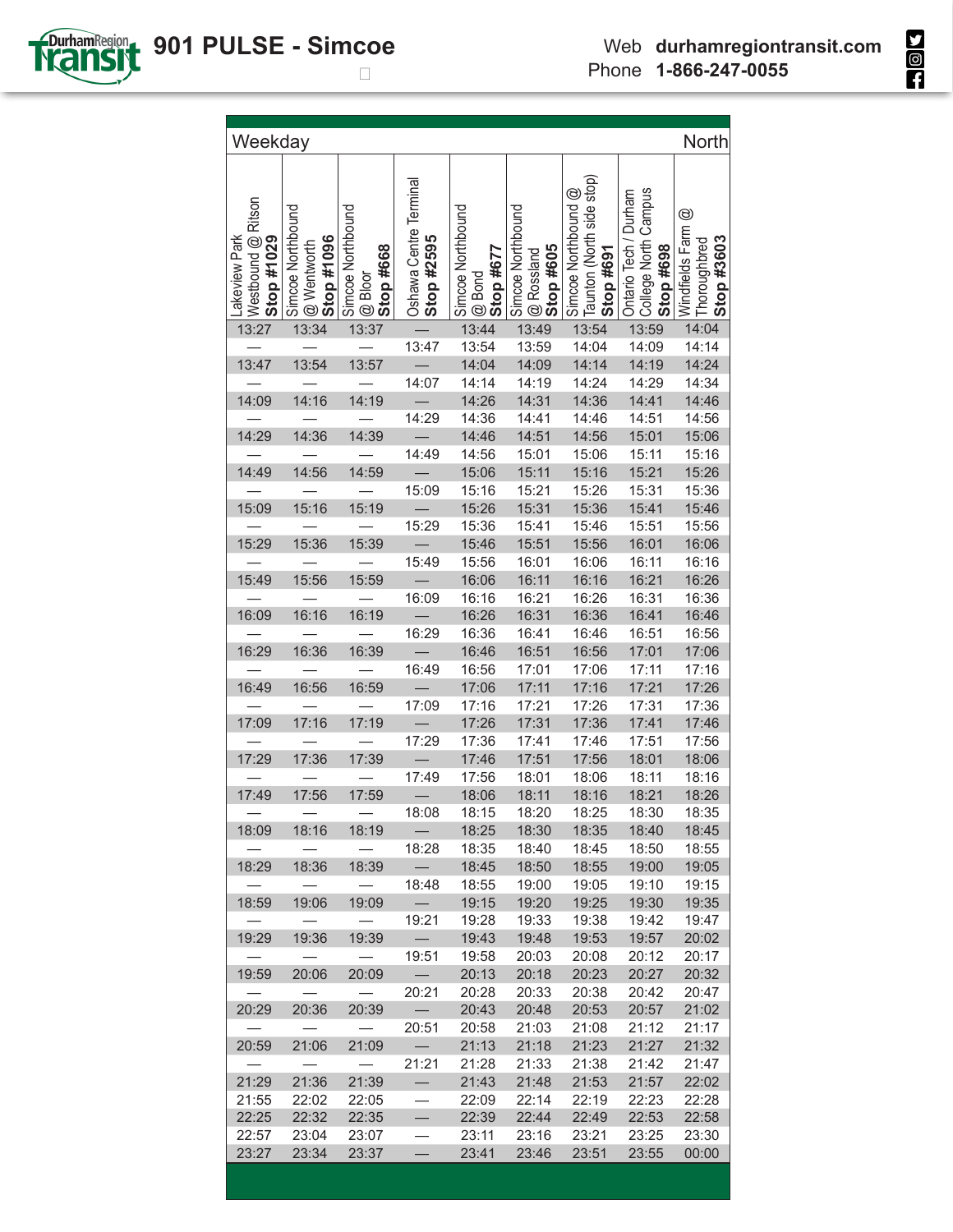| Weekday                                           |                                                |                                                  |                                      |                                                 |                                                     |                                                                               |                                                               | North                                                           |
|---------------------------------------------------|------------------------------------------------|--------------------------------------------------|--------------------------------------|-------------------------------------------------|-----------------------------------------------------|-------------------------------------------------------------------------------|---------------------------------------------------------------|-----------------------------------------------------------------|
| Westbound @ Ritson<br>Lakeview Park<br>Stop #1029 | Simcoe Northbound<br>Stop #1096<br>@ Wentworth | Simcoe Northbound<br>Stop #668<br><b>@</b> Bloor | Oshawa Centre Terminal<br>Stop #2595 | Simcoe Northbound<br><b>@</b> Bond<br>Stop #677 | Simcoe Northbound<br><b>@ Rossland</b><br>Stop #605 | Taunton (North side stop)<br>$^{\circledR}$<br>Simcoe Northbound<br>Stop #691 | Campus<br>Ontario Tech / Durham<br>College North<br>Stop #698 | $^{\circledR}$<br>Windfields Farm<br>Stop #3603<br>Thoroughbred |
| 13:27                                             | 13:34                                          | 13:37                                            |                                      | 13:44                                           | 13:49                                               | 13:54                                                                         | 13:59                                                         | 14:04                                                           |
|                                                   |                                                |                                                  | 13:47                                | 13:54                                           | 13:59                                               | 14:04                                                                         | 14:09                                                         | 14:14                                                           |
| 13:47                                             | 13:54                                          | 13:57                                            |                                      | 14:04                                           | 14:09                                               | 14:14                                                                         | 14:19                                                         | 14:24                                                           |
|                                                   |                                                |                                                  | 14:07                                | 14:14                                           | 14:19                                               | 14:24                                                                         | 14:29                                                         | 14:34                                                           |
| 14:09                                             | 14:16                                          | 14:19                                            |                                      | 14:26                                           | 14:31                                               | 14:36                                                                         | 14:41                                                         | 14:46                                                           |
|                                                   |                                                |                                                  | 14:29                                | 14:36                                           | 14:41                                               | 14:46                                                                         | 14:51                                                         | 14:56                                                           |
| 14:29                                             | 14:36                                          | 14:39                                            |                                      | 14:46                                           | 14:51                                               | 14:56                                                                         | 15:01                                                         | 15:06                                                           |
|                                                   |                                                |                                                  | 14:49                                | 14:56                                           | 15:01                                               | 15:06                                                                         | 15:11                                                         | 15:16                                                           |
| 14:49                                             | 14:56                                          | 14:59                                            |                                      | 15:06                                           | 15:11                                               | 15:16                                                                         | 15:21                                                         | 15:26                                                           |
|                                                   |                                                |                                                  | 15:09                                | 15:16                                           | 15:21                                               | 15:26                                                                         | 15:31                                                         | 15:36                                                           |
| 15:09                                             | 15:16                                          | 15:19                                            |                                      | 15:26                                           | 15:31                                               | 15:36                                                                         | 15:41                                                         | 15:46                                                           |
| 15:29                                             | 15:36                                          | 15:39                                            | 15:29                                | 15:36<br>15:46                                  | 15:41                                               | 15:46                                                                         | 15:51<br>16:01                                                | 15:56<br>16:06                                                  |
|                                                   |                                                |                                                  | 15:49                                | 15:56                                           | 15:51<br>16:01                                      | 15:56<br>16:06                                                                | 16:11                                                         | 16:16                                                           |
| 15:49                                             | 15:56                                          | 15:59                                            |                                      | 16:06                                           | 16:11                                               | 16:16                                                                         | 16:21                                                         | 16:26                                                           |
|                                                   |                                                |                                                  | 16:09                                | 16:16                                           | 16:21                                               | 16:26                                                                         | 16:31                                                         | 16:36                                                           |
| 16:09                                             | 16:16                                          | 16:19                                            |                                      | 16:26                                           | 16:31                                               | 16:36                                                                         | 16:41                                                         | 16:46                                                           |
|                                                   |                                                |                                                  | 16:29                                | 16:36                                           | 16:41                                               | 16:46                                                                         | 16:51                                                         | 16:56                                                           |
| 16:29                                             | 16:36                                          | 16:39                                            |                                      | 16:46                                           | 16:51                                               | 16:56                                                                         | 17:01                                                         | 17:06                                                           |
|                                                   |                                                |                                                  | 16:49                                | 16:56                                           | 17:01                                               | 17:06                                                                         | 17:11                                                         | 17:16                                                           |
| 16:49                                             | 16:56                                          | 16:59                                            |                                      | 17:06                                           | 17:11                                               | 17:16                                                                         | 17:21                                                         | 17:26                                                           |
|                                                   |                                                |                                                  | 17:09                                | 17:16                                           | 17:21                                               | 17:26                                                                         | 17:31                                                         | 17:36                                                           |
| 17:09                                             | 17:16                                          | 17:19                                            |                                      | 17:26                                           | 17:31                                               | 17:36                                                                         | 17:41                                                         | 17:46                                                           |
|                                                   |                                                |                                                  | 17:29                                | 17:36                                           | 17:41                                               | 17:46                                                                         | 17:51                                                         | 17:56                                                           |
| 17:29                                             | 17:36                                          | 17:39                                            |                                      | 17:46                                           | 17:51                                               | 17:56                                                                         | 18:01                                                         | 18:06                                                           |
|                                                   |                                                |                                                  | 17:49                                | 17:56                                           | 18:01                                               | 18:06                                                                         | 18:11                                                         | 18:16                                                           |
| 17:49                                             | 17:56                                          | 17:59                                            |                                      | 18:06                                           | 18:11                                               | 18:16                                                                         | 18:21                                                         | 18:26                                                           |
|                                                   |                                                |                                                  | 18:08                                | 18:15                                           | 18:20                                               | 18:25                                                                         | 18:30                                                         | 18:35                                                           |
| 18:09                                             | 18:16                                          | 18:19                                            | $-$ .                                | 18:25                                           | 18:30                                               | 18:35                                                                         | 18:40                                                         | 18:45                                                           |
|                                                   |                                                |                                                  | 18:28                                | 18:35                                           | 18:40                                               | 18:45                                                                         | 18:50                                                         | 18:55                                                           |
| 18:29                                             | 18:36                                          | 18:39                                            | $\overline{\phantom{0}}$             | 18:45                                           | 18:50                                               | 18:55                                                                         | 19:00                                                         | 19:05                                                           |
|                                                   |                                                | $\overline{\phantom{0}}$                         | 18:48                                | 18:55                                           | 19:00                                               | 19:05                                                                         | 19:10                                                         | 19:15                                                           |
| 18:59                                             | 19:06                                          | 19:09                                            | $=$                                  | 19:15                                           | 19:20                                               | 19:25                                                                         | 19:30                                                         | 19:35                                                           |
|                                                   |                                                | $\overline{\phantom{0}}$                         | 19:21                                | 19:28                                           | 19:33                                               | 19:38                                                                         | 19:42                                                         | 19:47                                                           |
| 19:29                                             | 19:36                                          | 19:39                                            | $\overline{\phantom{0}}$             | 19:43                                           | 19:48                                               | 19:53                                                                         | 19:57                                                         | 20:02                                                           |
|                                                   |                                                | $\overline{\phantom{0}}$                         | 19:51                                | 19:58                                           | 20:03                                               | 20:08                                                                         | 20:12                                                         | 20:17                                                           |
| 19:59                                             | 20:06                                          | 20:09                                            | $\overline{\phantom{0}}$             | 20:13                                           | 20:18                                               | 20:23                                                                         | 20:27                                                         | 20:32                                                           |
|                                                   | $\overbrace{\qquad \qquad }^{ }$               | $\frac{1}{2}$                                    | 20:21                                | 20:28                                           | 20:33                                               | 20:38                                                                         | 20:42                                                         | 20:47                                                           |
| 20:29                                             | 20:36                                          | 20:39<br>$\overline{\phantom{0}}$                | $\sim$                               | 20:43                                           | 20:48                                               | 20:53                                                                         | 20:57                                                         | 21:02                                                           |
| 20:59                                             | $\overline{\phantom{m}}$<br>21:06              | 21:09                                            | 20:51<br>$\overline{\phantom{a}}$    | 20:58<br>21:13                                  | 21:03<br>21:18                                      | 21:08<br>21:23                                                                | 21:12<br>21:27                                                | 21:17<br>21:32                                                  |
|                                                   | $\overline{\phantom{m}}$                       | $\hspace{0.1mm}-\hspace{0.1mm}$                  | 21:21                                | 21:28                                           | 21:33                                               | 21:38                                                                         | 21:42                                                         | 21:47                                                           |
| 21:29                                             | 21:36                                          | 21:39                                            | $\qquad \qquad -$                    | 21:43                                           | 21:48                                               | 21:53                                                                         | 21:57                                                         | 22:02                                                           |
| 21:55                                             | 22:02                                          | 22:05                                            | $\overline{\phantom{0}}$             | 22:09                                           | 22:14                                               | 22:19                                                                         | 22:23                                                         | 22:28                                                           |
| 22:25                                             | 22:32                                          | 22:35                                            | $\qquad \qquad$                      | 22:39                                           | 22:44                                               | 22:49                                                                         | 22:53                                                         | 22:58                                                           |
| 22:57                                             | 23:04                                          | 23:07                                            | $\overline{\phantom{0}}$             | 23:11                                           | 23:16                                               | 23:21                                                                         | 23:25                                                         | 23:30                                                           |
| 23:27                                             | 23:34                                          | 23:37                                            |                                      | 23:41                                           | 23:46                                               | 23:51                                                                         | 23:55                                                         | 00:00                                                           |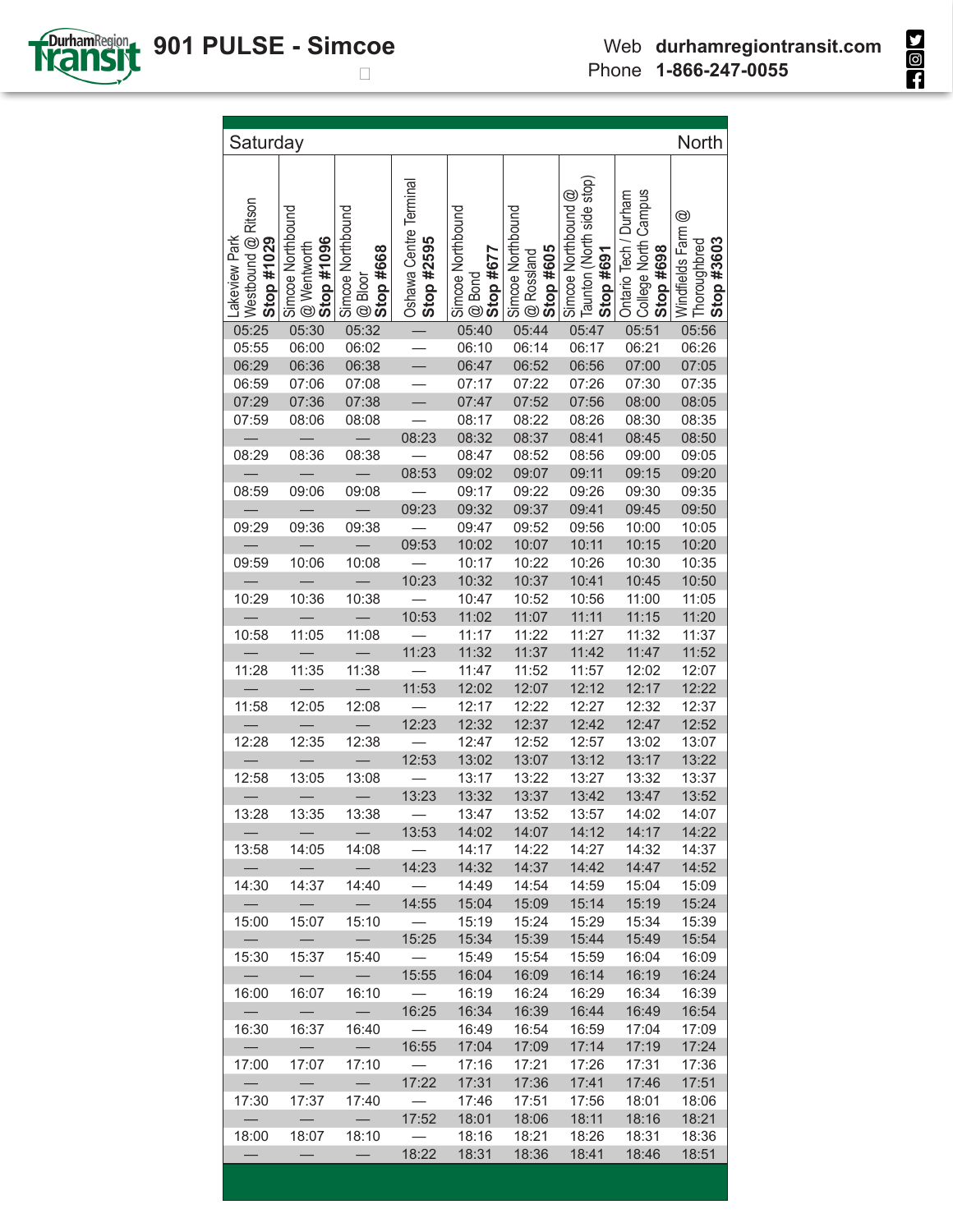

| Saturday                                             |                                                       |                                                        |                                      |                                                     |                                                         |                                                                               |                                                            | North                                                             |
|------------------------------------------------------|-------------------------------------------------------|--------------------------------------------------------|--------------------------------------|-----------------------------------------------------|---------------------------------------------------------|-------------------------------------------------------------------------------|------------------------------------------------------------|-------------------------------------------------------------------|
|                                                      |                                                       |                                                        |                                      |                                                     |                                                         |                                                                               |                                                            |                                                                   |
| Ritson<br>Lakeview Park<br>Westbound @<br>Stop #1029 | , Simcoe Northbound<br>', @ Wentworth<br>' Stop #1096 | , Simcoe Northbound<br>⊍ @ Bloor<br>9 <b>Stop #668</b> | Oshawa Centre Terminal<br>Stop #2595 | Simcoe Northbound<br>! @ Bond<br>  <b>Stop #677</b> | Simcoe Northbound<br>! @ Rossland<br>  <b>Stop #605</b> | Taunton (North side stop)<br>$^{\circledR}$<br>Simcoe Northbound<br>Stop #691 | College North Campus<br>Ontario Tech / Durham<br>Stop #698 | $^{\circledR}$<br>Windfields Farm @<br>Thoroughbred<br>Stop #3603 |
| 05:25                                                | 05:30                                                 | 05:32                                                  |                                      | 05:40                                               | 05:44                                                   | 05:47                                                                         | 05:51                                                      | 05:56                                                             |
| 05:55                                                | 06:00                                                 | 06:02                                                  | $\frac{1}{1}$                        | 06:10                                               | 06:14                                                   | 06:17                                                                         | 06:21                                                      | 06:26                                                             |
| 06:29                                                | 06:36                                                 | 06:38                                                  |                                      | 06:47                                               | 06:52                                                   | 06:56                                                                         | 07:00                                                      | 07:05                                                             |
| 06:59                                                | 07:06                                                 | 07:08                                                  | $\equiv$                             | 07:17                                               | 07:22                                                   | 07:26                                                                         | 07:30                                                      | 07:35                                                             |
| 07:29                                                | 07:36                                                 | 07:38                                                  | $\overline{\phantom{0}}$             | 07:47                                               | 07:52                                                   | 07:56                                                                         | 08:00                                                      | 08:05                                                             |
| 07:59                                                | 08:06                                                 | 08:08                                                  |                                      | 08:17                                               | 08:22                                                   | 08:26                                                                         | 08:30                                                      | 08:35                                                             |
|                                                      | $\overline{\phantom{0}}$                              | $\sim$                                                 | 08:23                                | 08:32                                               | 08:37                                                   | 08:41                                                                         | 08:45                                                      | 08:50                                                             |
| 08:29                                                | 08:36                                                 | 08:38                                                  |                                      | 08:47                                               | 08:52                                                   | 08:56                                                                         | 09:00                                                      | 09:05                                                             |
|                                                      |                                                       |                                                        | 08:53                                | 09:02                                               | 09:07                                                   | 09:11                                                                         | 09:15                                                      | 09:20                                                             |
| 08:59                                                | 09:06                                                 | 09:08                                                  |                                      | 09:17                                               | 09:22                                                   | 09:26                                                                         | 09:30                                                      | 09:35                                                             |
|                                                      |                                                       |                                                        | 09:23                                | 09:32                                               | 09:37                                                   | 09:41                                                                         | 09:45                                                      | 09:50                                                             |
| 09:29                                                | 09:36                                                 | 09:38                                                  |                                      | 09:47                                               | 09:52                                                   | 09:56                                                                         | 10:00                                                      | 10:05                                                             |
|                                                      |                                                       | $\overline{\phantom{a}}$                               | 09:53                                | 10:02                                               | 10:07                                                   | 10:11                                                                         | 10:15                                                      | 10:20                                                             |
| 09:59                                                | 10:06                                                 | 10:08                                                  | $\frac{1}{2}$                        | 10:17                                               | 10:22                                                   | 10:26                                                                         | 10:30                                                      | 10:35                                                             |
|                                                      | $\equiv$                                              | $\equiv$                                               | 10:23                                | 10:32                                               | 10:37                                                   | 10:41                                                                         | 10:45                                                      | 10:50                                                             |
| 10:29                                                | 10:36                                                 | 10:38                                                  |                                      | 10:47                                               | 10:52                                                   | 10:56                                                                         | 11:00                                                      | 11:05                                                             |
|                                                      | $\overline{\phantom{m}}$                              | $\overline{\phantom{m}}$                               | 10:53                                | 11:02                                               | 11:07                                                   | 11:11                                                                         | 11:15                                                      | 11:20                                                             |
| 10:58                                                | 11:05                                                 | 11:08                                                  |                                      | 11:17                                               | 11:22                                                   | 11:27                                                                         | 11:32                                                      | 11:37                                                             |
| 11:28                                                | 11:35                                                 | 11:38                                                  | 11:23                                | 11:32<br>11:47                                      | 11:37<br>11:52                                          | 11:42<br>11:57                                                                | 11:47<br>12:02                                             | 11:52<br>12:07                                                    |
|                                                      |                                                       |                                                        | 11:53                                | 12:02                                               | 12:07                                                   | 12:12                                                                         | 12:17                                                      | 12:22                                                             |
| 11:58                                                | 12:05                                                 | 12:08                                                  |                                      | 12:17                                               | 12:22                                                   | 12:27                                                                         | 12:32                                                      | 12:37                                                             |
|                                                      |                                                       |                                                        | 12:23                                | 12:32                                               | 12:37                                                   | 12:42                                                                         | 12:47                                                      | 12:52                                                             |
| 12:28                                                | 12:35                                                 | 12:38                                                  |                                      | 12:47                                               | 12:52                                                   | 12:57                                                                         | 13:02                                                      | 13:07                                                             |
|                                                      |                                                       |                                                        | 12:53                                | 13:02                                               | 13:07                                                   | 13:12                                                                         | 13:17                                                      | 13:22                                                             |
| 12:58                                                | 13:05                                                 | 13:08                                                  |                                      | 13:17                                               | 13:22                                                   | 13:27                                                                         | 13:32                                                      | 13:37                                                             |
|                                                      |                                                       |                                                        | 13:23                                | 13:32                                               | 13:37                                                   | 13:42                                                                         | 13:47                                                      | 13:52                                                             |
| 13:28                                                | 13:35                                                 | 13:38                                                  | $\overline{\phantom{0}}$             | 13:47                                               | 13:52                                                   | 13:57                                                                         | 14:02                                                      | 14:07                                                             |
|                                                      | $\overline{\phantom{m}}$                              | $\overline{\phantom{0}}$                               | 13:53                                | 14:02                                               | 14:07                                                   | 14:12                                                                         | 14:17                                                      | 14:22                                                             |
| 13:58                                                | 14:05                                                 | 14:08                                                  |                                      | 14:17                                               | 14:22                                                   | 14:27                                                                         | 14:32                                                      | 14:37                                                             |
|                                                      |                                                       | $\overline{\phantom{0}}$                               | 14:23                                | 14:32                                               | 14:37                                                   | 14:42                                                                         | 14:47                                                      | 14:52                                                             |
| 14:30                                                | 14:37                                                 | 14:40                                                  |                                      | 14:49                                               | 14:54                                                   | 14:59                                                                         | 15:04                                                      | 15:09                                                             |
|                                                      |                                                       |                                                        | 14:55                                | 15:04                                               | 15:09                                                   | 15:14                                                                         | 15:19                                                      | 15:24                                                             |
| 15:00                                                | 15:07                                                 | 15:10                                                  |                                      | 15:19                                               | 15:24                                                   | 15:29                                                                         | 15:34                                                      | 15:39                                                             |
|                                                      |                                                       |                                                        | 15:25                                | 15:34                                               | 15:39                                                   | 15:44                                                                         | 15:49                                                      | 15:54                                                             |
| 15:30                                                | 15:37                                                 | 15:40                                                  |                                      | 15:49                                               | 15:54                                                   | 15:59                                                                         | 16:04                                                      | 16:09                                                             |
|                                                      |                                                       |                                                        | 15:55                                | 16:04                                               | 16:09                                                   | 16:14                                                                         | 16:19                                                      | 16:24                                                             |
| 16:00                                                | 16:07                                                 | 16:10                                                  | $\frac{1}{1}$                        | 16:19                                               | 16:24                                                   | 16:29                                                                         | 16:34                                                      | 16:39                                                             |
|                                                      |                                                       |                                                        | 16:25                                | 16:34                                               | 16:39                                                   | 16:44                                                                         | 16:49                                                      | 16:54                                                             |
| 16:30                                                | 16:37                                                 | 16:40                                                  |                                      | 16:49                                               | 16:54                                                   | 16:59                                                                         | 17:04                                                      | 17:09                                                             |
| $\overline{\phantom{0}}$                             |                                                       | $\overline{\phantom{0}}$                               | 16:55                                | 17:04                                               | 17:09                                                   | 17:14                                                                         | 17:19                                                      | 17:24                                                             |
| 17:00                                                | 17:07                                                 | 17:10                                                  |                                      | 17:16                                               | 17:21                                                   | 17:26                                                                         | 17:31                                                      | 17:36                                                             |
|                                                      | $\overline{\phantom{0}}$                              | $\overline{\phantom{0}}$                               | 17:22                                | 17:31                                               | 17:36                                                   | 17:41                                                                         | 17:46                                                      | 17:51                                                             |
| 17:30                                                | 17:37                                                 | 17:40                                                  |                                      | 17:46                                               | 17:51                                                   | 17:56                                                                         | 18:01                                                      | 18:06                                                             |
|                                                      |                                                       |                                                        | 17:52                                | 18:01                                               | 18:06                                                   | 18:11                                                                         | 18:16                                                      | 18:21                                                             |
| 18:00                                                | 18:07                                                 | 18:10                                                  |                                      | 18:16                                               | 18:21                                                   | 18:26                                                                         | 18:31                                                      | 18:36                                                             |
|                                                      |                                                       |                                                        | 18:22                                | 18:31                                               | 18:36                                                   | 18:41                                                                         | 18:46                                                      | 18:51                                                             |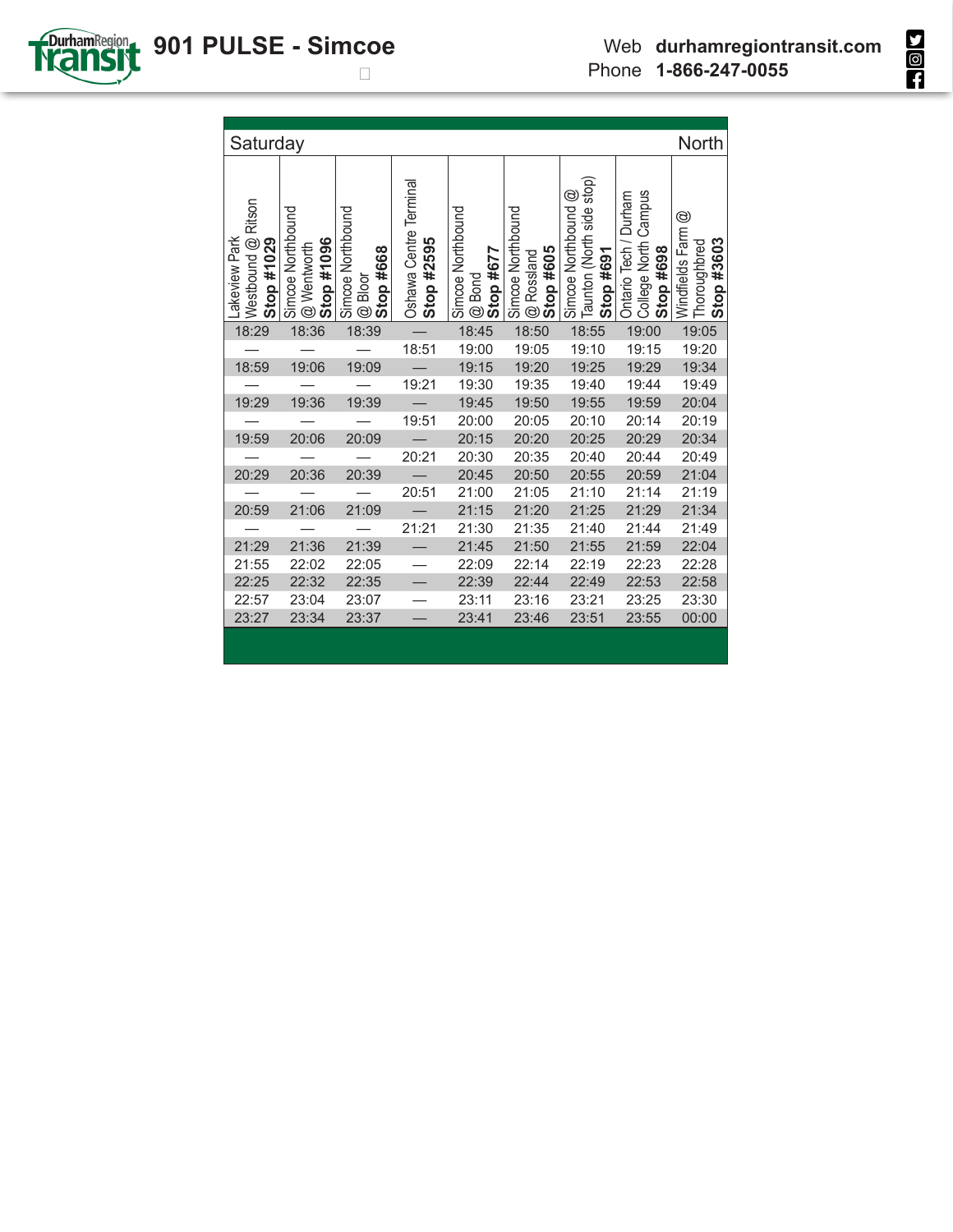**SOL** 



| Saturday                                          |                                                |                                           |                                      |                                          |                                              |                                                               |                                                            | <b>North</b>                                    |
|---------------------------------------------------|------------------------------------------------|-------------------------------------------|--------------------------------------|------------------------------------------|----------------------------------------------|---------------------------------------------------------------|------------------------------------------------------------|-------------------------------------------------|
| Westbound @ Ritson<br>-akeview Park<br>Stop #1029 | Simcoe Northbound<br>Stop #1096<br>@ Wentworth | Simcoe Northbound<br>Stop #668<br>@ Bloor | Oshawa Centre Terminal<br>Stop #2595 | Simcoe Northbound<br>Stop #677<br>@ Bond | Simcoe Northbound<br>Stop #605<br>@ Rossland | Taunton (North side stop)<br>Simcoe Northbound @<br>Stop #691 | College North Campus<br>Ontario Tech / Durham<br>Stop #698 | Windfields Farm @<br>Stop #3603<br>Thoroughbred |
| 18:29                                             | 18:36                                          | 18:39                                     |                                      | 18:45                                    | 18:50                                        | 18:55                                                         | 19:00                                                      | 19:05                                           |
|                                                   |                                                |                                           | 18:51                                | 19:00                                    | 19:05                                        | 19:10                                                         | 19:15                                                      | 19:20                                           |
| 18:59                                             | 19:06                                          | 19:09                                     |                                      | 19:15                                    | 19:20                                        | 19:25                                                         | 19:29                                                      | 19:34                                           |
|                                                   |                                                |                                           | 19:21                                | 19:30                                    | 19:35                                        | 19:40                                                         | 19:44                                                      | 19:49                                           |
| 19:29                                             | 19:36                                          | 19:39                                     |                                      | 19:45                                    | 19:50                                        | 19:55                                                         | 19:59                                                      | 20:04                                           |
|                                                   |                                                |                                           | 19:51                                | 20:00                                    | 20:05                                        | 20:10                                                         | 20:14                                                      | 20:19                                           |
| 19:59                                             | 20:06                                          | 20:09                                     |                                      | 20:15                                    | 20:20                                        | 20:25                                                         | 20:29                                                      | 20:34                                           |
|                                                   |                                                |                                           | 20:21                                | 20:30                                    | 20:35                                        | 20:40                                                         | 20:44                                                      | 20:49                                           |
| 20:29                                             | 20:36                                          | 20:39                                     |                                      | 20:45                                    | 20:50                                        | 20:55                                                         | 20:59                                                      | 21:04                                           |
|                                                   |                                                |                                           | 20:51                                | 21:00                                    | 21:05                                        | 21:10                                                         | 21:14                                                      | 21:19                                           |
| 20:59                                             | 21:06                                          | 21:09                                     |                                      | 21:15                                    | 21:20                                        | 21:25                                                         | 21:29                                                      | 21:34                                           |
|                                                   |                                                |                                           | 21:21                                | 21:30                                    | 21:35                                        | 21:40                                                         | 21:44                                                      | 21:49                                           |
| 21:29                                             | 21:36                                          | 21:39                                     |                                      | 21:45                                    | 21:50                                        | 21:55                                                         | 21:59                                                      | 22:04                                           |
| 21:55                                             | 22:02                                          | 22:05                                     |                                      | 22:09                                    | 22:14                                        | 22:19                                                         | 22:23                                                      | 22:28                                           |
| 22:25                                             | 22:32                                          | 22:35                                     |                                      | 22:39                                    | 22:44                                        | 22:49                                                         | 22:53                                                      | 22:58                                           |
| 22:57                                             | 23:04                                          | 23:07                                     |                                      | 23:11                                    | 23:16                                        | 23:21                                                         | 23:25                                                      | 23:30                                           |
| 23:27                                             | 23:34                                          | 23:37                                     |                                      | 23:41                                    | 23:46                                        | 23:51                                                         | 23:55                                                      | 00:00                                           |
|                                                   |                                                |                                           |                                      |                                          |                                              |                                                               |                                                            |                                                 |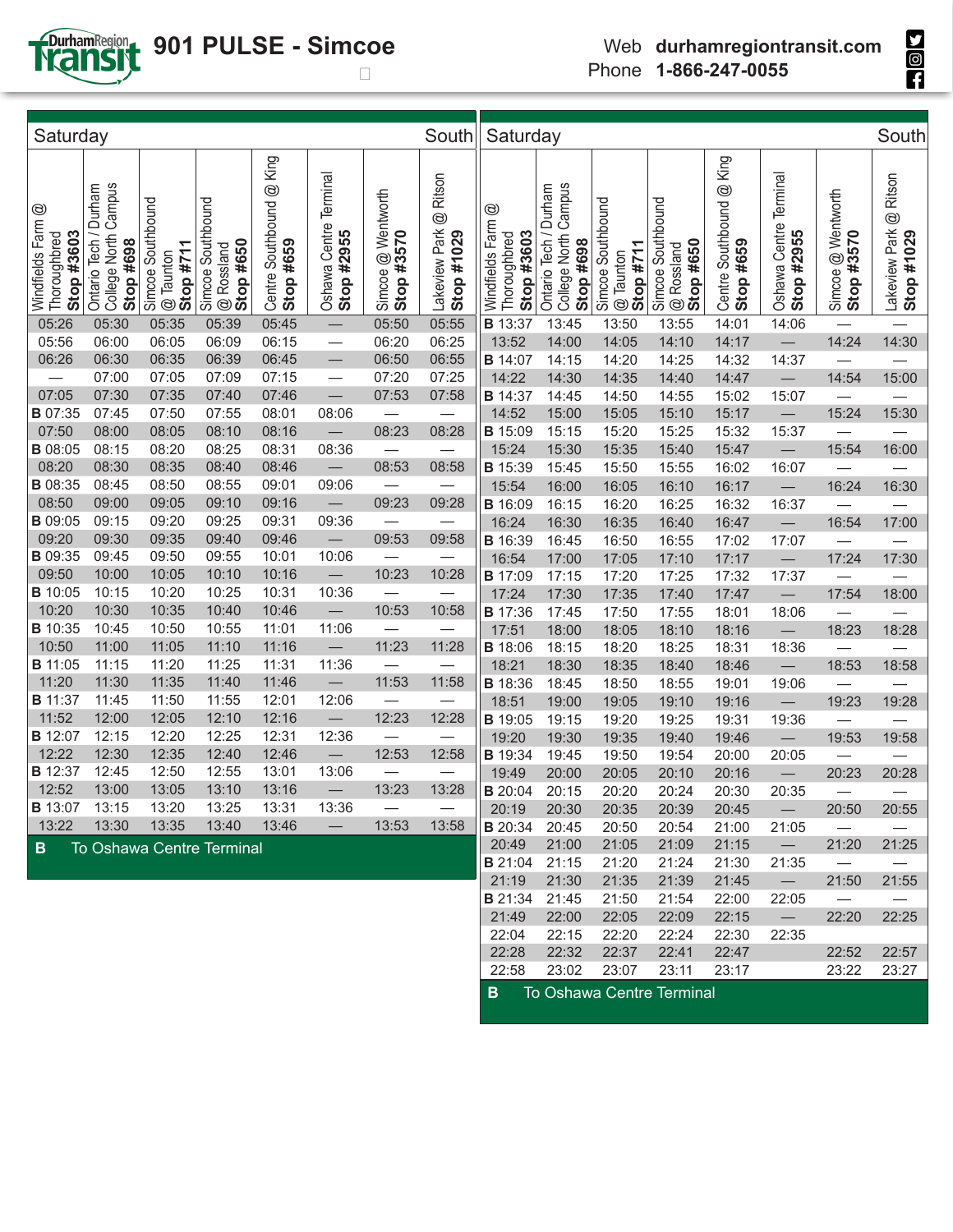

## **901 PULSE - Simcoe**

**SIGH** 

| Saturday                                                        |                                                                  |                                               |                                              |                                          |                                         |                                              | South                                                   | Saturday                                           |                                                            |                                             |                                              |                                          |                                      |                                  | South                                                   |  |  |  |  |
|-----------------------------------------------------------------|------------------------------------------------------------------|-----------------------------------------------|----------------------------------------------|------------------------------------------|-----------------------------------------|----------------------------------------------|---------------------------------------------------------|----------------------------------------------------|------------------------------------------------------------|---------------------------------------------|----------------------------------------------|------------------------------------------|--------------------------------------|----------------------------------|---------------------------------------------------------|--|--|--|--|
| $^{\circledR}$<br>Windfields Farm<br>Stop #3603<br>Thoroughbred | Campus<br>Durham<br>College North<br>Ontario Tech /<br>Stop #698 | Simcoe Southbound<br>$@$ Taunton<br>Stop #711 | Simcoe Southbound<br>Stop #650<br>@ Rossland | @ King<br>Centre Southbound<br>Stop #659 | Terminal<br>Oshawa Centre<br>Stop #2955 | Wentworth<br>Stop #3570<br>$\odot$<br>Simcoe | Ritson<br>$^{\circledR}$<br>Lakeview Park<br>Stop #1029 | ☺<br>Windfields Farm<br>Stop #3603<br>Thoroughbred | College North Campus<br>Ontario Tech / Durham<br>Stop #698 | Simcoe Southbound<br>Stop #711<br>@ Taunton | Simcoe Southbound<br>Stop #650<br>@ Rossland | @ King<br>Centre Southbound<br>Stop #659 | Oshawa Centre Terminal<br>Stop #2955 | Simcoe @ Wentworth<br>Stop #3570 | Ritson<br>$^{\circledR}$<br>Lakeview Park<br>Stop #1029 |  |  |  |  |
| 05:26                                                           | 05:30                                                            | 05:35                                         | 05:39                                        | 05:45                                    |                                         | 05:50                                        | 05:55                                                   | <b>B</b> 13:37                                     | 13:45                                                      | 13:50                                       | 13:55                                        | 14:01                                    | 14:06                                |                                  |                                                         |  |  |  |  |
| 05:56                                                           | 06:00                                                            | 06:05                                         | 06:09                                        | 06:15                                    | $\overline{\phantom{0}}$                | 06:20                                        | 06:25                                                   | 13:52                                              | 14:00                                                      | 14:05                                       | 14:10                                        | 14:17                                    |                                      | 14:24                            | 14:30                                                   |  |  |  |  |
| 06:26                                                           | 06:30                                                            | 06:35                                         | 06:39                                        | 06:45                                    |                                         | 06:50                                        | 06:55                                                   | <b>B</b> 14:07                                     | 14:15                                                      | 14:20                                       | 14:25                                        | 14:32                                    | 14:37                                | $\overline{\phantom{0}}$         |                                                         |  |  |  |  |
| $\overbrace{\phantom{123221111}}$                               | 07:00                                                            | 07:05                                         | 07:09                                        | 07:15                                    |                                         | 07:20                                        | 07:25                                                   | 14:22                                              | 14:30                                                      | 14:35                                       | 14:40                                        | 14:47                                    |                                      | 14:54                            | 15:00                                                   |  |  |  |  |
| 07:05                                                           | 07:30                                                            | 07:35                                         | 07:40                                        | 07:46                                    | $\qquad \qquad$                         | 07:53                                        | 07:58                                                   | <b>B</b> 14:37                                     | 14:45                                                      | 14:50                                       | 14:55                                        | 15:02                                    | 15:07                                |                                  |                                                         |  |  |  |  |
| <b>B</b> 07:35                                                  | 07:45                                                            | 07:50                                         | 07:55                                        | 08:01                                    | 08:06                                   |                                              |                                                         | 14:52                                              | 15:00                                                      | 15:05                                       | 15:10                                        | 15:17                                    |                                      | 15:24                            | 15:30                                                   |  |  |  |  |
| 07:50                                                           | 08:00                                                            | 08:05                                         | 08:10                                        | 08:16                                    |                                         | 08:23                                        | 08:28                                                   | <b>B</b> 15:09                                     | 15:15                                                      | 15:20                                       | 15:25                                        | 15:32                                    | 15:37                                |                                  |                                                         |  |  |  |  |
| <b>B</b> 08:05                                                  | 08:15                                                            | 08:20                                         | 08:25                                        | 08:31                                    | 08:36                                   |                                              |                                                         | 15:24                                              | 15:30                                                      | 15:35                                       | 15:40                                        | 15:47                                    |                                      | 15:54                            | 16:00                                                   |  |  |  |  |
| 08:20                                                           | 08:30                                                            | 08:35                                         | 08:40                                        | 08:46                                    |                                         | 08:53                                        | 08:58                                                   | <b>B</b> 15:39                                     | 15:45                                                      | 15:50                                       | 15:55                                        | 16:02                                    | 16:07                                |                                  |                                                         |  |  |  |  |
| <b>B</b> 08:35                                                  | 08:45                                                            | 08:50                                         | 08:55                                        | 09:01                                    | 09:06                                   |                                              |                                                         | 15:54                                              | 16:00                                                      | 16:05                                       | 16:10                                        | 16:17                                    |                                      | 16:24                            | 16:30                                                   |  |  |  |  |
| 08:50                                                           | 09:00                                                            | 09:05                                         | 09:10                                        | 09:16                                    |                                         | 09:23                                        | 09:28                                                   | <b>B</b> 16:09                                     | 16:15                                                      | 16:20                                       | 16:25                                        | 16:32                                    | 16:37                                |                                  |                                                         |  |  |  |  |
| <b>B</b> 09:05                                                  | 09:15                                                            | 09:20                                         | 09:25                                        | 09:31                                    | 09:36                                   | $\overline{\phantom{0}}$                     |                                                         | 16:24                                              | 16:30                                                      | 16:35                                       | 16:40                                        | 16:47                                    |                                      | 16:54                            | 17:00                                                   |  |  |  |  |
| 09:20                                                           | 09:30                                                            | 09:35                                         | 09:40                                        | 09:46                                    |                                         | 09:53                                        | 09:58                                                   | <b>B</b> 16:39                                     | 16:45                                                      | 16:50                                       | 16:55                                        | 17:02                                    | 17:07                                |                                  |                                                         |  |  |  |  |
| <b>B</b> 09:35                                                  | 09:45                                                            | 09:50                                         | 09:55                                        | 10:01                                    | 10:06                                   |                                              |                                                         | 16:54                                              | 17:00                                                      | 17:05                                       | 17:10                                        | 17:17                                    |                                      | 17:24                            | 17:30                                                   |  |  |  |  |
| 09:50                                                           | 10:00                                                            | 10:05                                         | 10:10                                        | 10:16                                    |                                         | 10:23                                        | 10:28                                                   | <b>B</b> 17:09                                     | 17:15                                                      | 17:20                                       | 17:25                                        | 17:32                                    | 17:37                                |                                  |                                                         |  |  |  |  |
| <b>B</b> 10:05                                                  | 10:15                                                            | 10:20                                         | 10:25                                        | 10:31                                    | 10:36                                   |                                              |                                                         | 17:24                                              | 17:30                                                      | 17:35                                       | 17:40                                        | 17:47                                    |                                      | 17:54                            | 18:00                                                   |  |  |  |  |
| 10:20                                                           | 10:30                                                            | 10:35                                         | 10:40                                        | 10:46                                    |                                         | 10:53                                        | 10:58                                                   | <b>B</b> 17:36                                     | 17:45                                                      | 17:50                                       | 17:55                                        | 18:01                                    | 18:06                                |                                  |                                                         |  |  |  |  |
| <b>B</b> 10:35                                                  | 10:45                                                            | 10:50                                         | 10:55                                        | 11:01                                    | 11:06                                   | $\overline{\phantom{0}}$                     |                                                         | 17:51                                              | 18:00                                                      | 18:05                                       | 18:10                                        | 18:16                                    |                                      | 18:23                            | 18:28                                                   |  |  |  |  |
| 10:50                                                           | 11:00                                                            | 11:05                                         | 11:10                                        | 11:16                                    |                                         | 11:23                                        | 11:28                                                   | <b>B</b> 18:06                                     | 18:15                                                      | 18:20                                       | 18:25                                        | 18:31                                    | 18:36                                |                                  |                                                         |  |  |  |  |
| <b>B</b> 11:05                                                  | 11:15                                                            | 11:20                                         | 11:25                                        | 11:31                                    | 11:36                                   | $\overline{\phantom{0}}$                     |                                                         | 18:21                                              | 18:30                                                      | 18:35                                       | 18:40                                        | 18:46                                    |                                      | 18:53                            | 18:58                                                   |  |  |  |  |
| 11:20                                                           | 11:30                                                            | 11:35                                         | 11:40                                        | 11:46                                    |                                         | 11:53                                        | 11:58                                                   | <b>B</b> 18:36                                     | 18:45                                                      | 18:50                                       | 18:55                                        | 19:01                                    | 19:06                                |                                  |                                                         |  |  |  |  |
| <b>B</b> 11:37                                                  | 11:45                                                            | 11:50                                         | 11:55                                        | 12:01                                    | 12:06                                   |                                              |                                                         | 18:51                                              | 19:00                                                      | 19:05                                       | 19:10                                        | 19:16                                    |                                      | 19:23                            | 19:28                                                   |  |  |  |  |
| 11:52                                                           | 12:00                                                            | 12:05                                         | 12:10                                        | 12:16                                    | $\overline{\phantom{0}}$                | 12:23                                        | 12:28                                                   | <b>B</b> 19:05                                     | 19:15                                                      | 19:20                                       | 19:25                                        | 19:31                                    | 19:36                                |                                  |                                                         |  |  |  |  |
| <b>B</b> 12:07                                                  | 12:15                                                            | 12:20                                         | 12:25                                        | 12:31                                    | 12:36                                   |                                              |                                                         | 19:20                                              | 19:30                                                      | 19:35                                       | 19:40                                        | 19:46                                    |                                      | 19:53                            | 19:58                                                   |  |  |  |  |
| 12:22                                                           | 12:30                                                            | 12:35                                         | 12:40                                        | 12:46                                    |                                         | 12:53                                        | 12:58                                                   | <b>B</b> 19:34                                     | 19:45                                                      | 19:50                                       | 19:54                                        | 20:00                                    | 20:05                                |                                  |                                                         |  |  |  |  |
| <b>B</b> 12:37                                                  | 12:45                                                            | 12:50                                         | 12:55                                        | 13:01                                    | 13:06                                   |                                              |                                                         | 19:49                                              | 20:00                                                      | 20:05                                       | 20:10                                        | 20:16                                    |                                      | 20:23                            | 20:28                                                   |  |  |  |  |
| 12:52                                                           | 13:00                                                            | 13:05                                         | 13:10                                        | 13:16                                    |                                         | 13:23                                        | 13:28                                                   | <b>B</b> 20:04                                     | 20:15                                                      | 20:20                                       | 20:24                                        | 20:30                                    | 20:35                                |                                  |                                                         |  |  |  |  |
| <b>B</b> 13:07 13:15                                            |                                                                  | 13:20                                         | 13:25                                        | 13:31                                    | 13:36                                   |                                              |                                                         | 20:19                                              | 20:30                                                      | 20:35                                       | 20:39                                        | 20:45                                    | $\overline{\phantom{m}}$             | 20:50                            | 20:55                                                   |  |  |  |  |
| 13:22                                                           | 13:30                                                            | 13:35                                         | 13:40                                        | 13:46                                    |                                         | 13:53                                        | 13:58                                                   | <b>B</b> 20:34                                     | 20:45                                                      | 20:50                                       | 20:54                                        | 21:00                                    | 21:05                                |                                  |                                                         |  |  |  |  |
| B.                                                              |                                                                  |                                               | <b>To Oshawa Centre Terminal</b>             |                                          |                                         |                                              |                                                         | 20:49                                              | 21:00                                                      | 21:05                                       | 21:09                                        | 21:15                                    | $\overline{\phantom{0}}$             | 21:20                            | 21:25                                                   |  |  |  |  |
|                                                                 |                                                                  |                                               |                                              |                                          |                                         |                                              |                                                         | <b>B</b> 21:04 21:15                               |                                                            | 21:20                                       | 21:24                                        | 21:30                                    | 21:35                                | $\overline{\phantom{m}}$         |                                                         |  |  |  |  |
|                                                                 |                                                                  |                                               |                                              |                                          |                                         |                                              |                                                         | 21:19                                              | 21:30                                                      | 21:35                                       | 21:39                                        | 21:45                                    | $\overline{\phantom{0}}$             | 21:50                            | 21:55                                                   |  |  |  |  |
|                                                                 |                                                                  |                                               |                                              |                                          |                                         |                                              |                                                         | <b>B</b> 21:34                                     | 21:45                                                      | 21:50                                       | 21:54                                        | 22:00                                    | 22:05                                | $\overline{\phantom{m}}$         |                                                         |  |  |  |  |
|                                                                 |                                                                  |                                               |                                              |                                          |                                         |                                              |                                                         | 21:49                                              | 22:00                                                      | 22:05                                       | 22:09                                        | 22:15                                    | $\overline{\phantom{0}}$             | 22:20                            | 22:25                                                   |  |  |  |  |
|                                                                 |                                                                  |                                               |                                              |                                          |                                         |                                              |                                                         | 22:04                                              | 22:15                                                      | 22:20                                       | 22:24                                        | 22:30                                    | 22:35                                |                                  |                                                         |  |  |  |  |

**B** To Oshawa Centre Terminal

22:28 22:32 22:37 22:41 22:47 22:52 22:57 22:58 23:02 23:07 23:11 23:17 23:22 23:27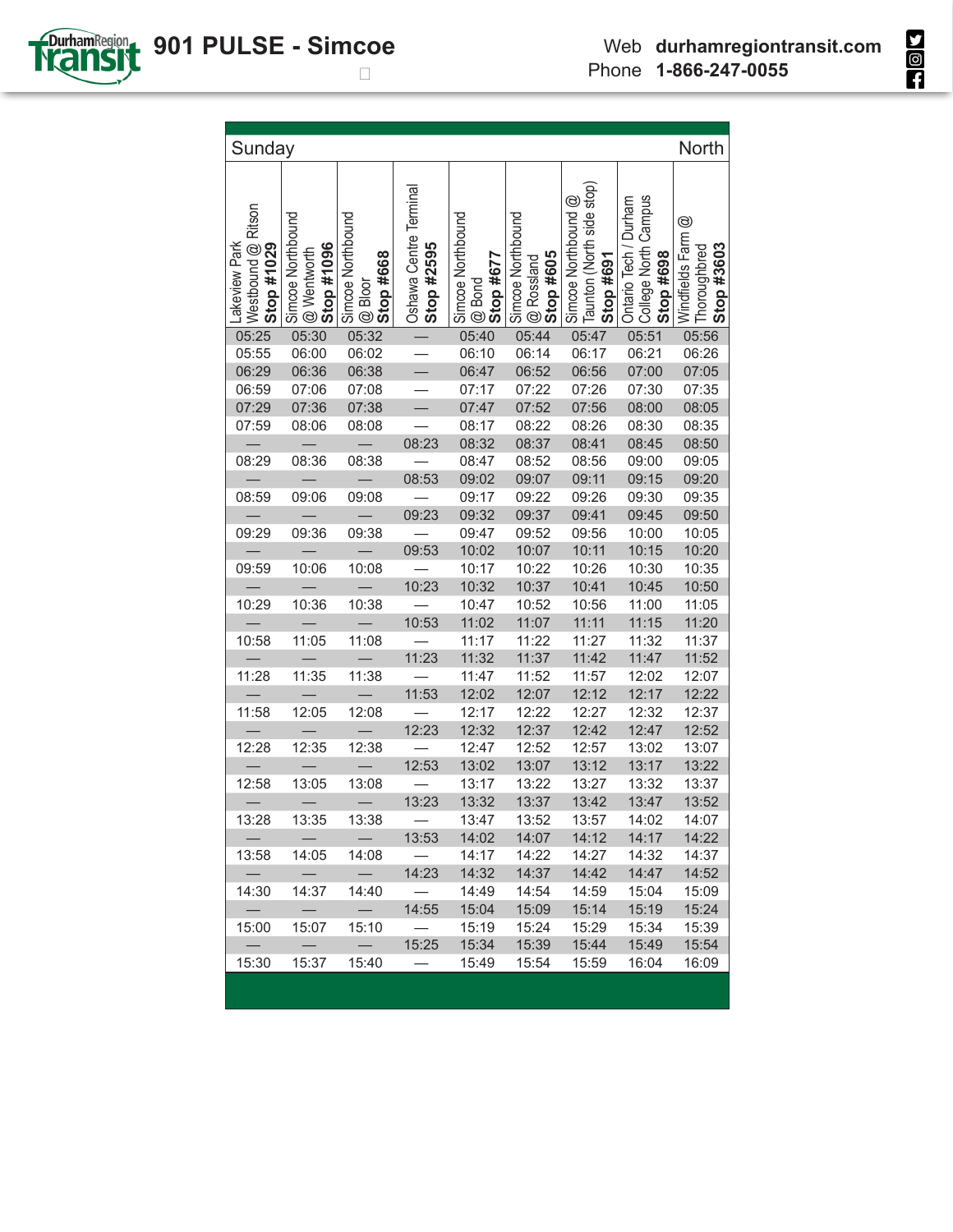

| Taunton (North side stop)<br>Oshawa Centre Terminal<br>College North Campus<br>Simcoe Northbound @<br>Ontario Tech / Durham<br>Westbound @ Ritson<br>Simcoe Northbound<br>Simcoe Northbound<br>Simcoe Northbound<br>Simcoe Northbound<br>$^{\circledR}$<br>Windfields Farm<br>Lakeview Park<br>Stop #1029<br>Stop #1096<br>Stop #2595<br>Stop #3603<br>Thoroughbred<br>@ Wentworth<br>@ Rossland<br>Stop #605<br>Stop #698<br>Stop #668<br>Stop #677<br>Stop #691<br>@ Bloor<br>@ Bond<br>05:32<br>05:30<br>05:40<br>05:44<br>05:51<br>05:56<br>05:25<br>05:47<br>05:55<br>06:02<br>06:10<br>06:14<br>06:17<br>06:21<br>06:26<br>06:00<br>$\overline{\phantom{0}}$<br>06:29<br>06:47<br>06:52<br>06:56<br>07:00<br>07:05<br>06:36<br>06:38<br>06:59<br>07:06<br>07:08<br>07:17<br>07:22<br>07:26<br>07:30<br>07:35<br>07:52<br>07:56<br>07:29<br>07:36<br>07:38<br>07:47<br>08:00<br>08:05<br>07:59<br>08:17<br>08:22<br>08:26<br>08:06<br>08:08<br>08:30<br>08:35<br>08:23<br>08:32<br>08:37<br>08:41<br>08:45<br>08:50<br>08:47<br>08:52<br>08:56<br>09:00<br>08:38<br>09:05<br>08:29<br>08:36<br>08:53<br>09:07<br>09:11<br>09:02<br>09:15<br>09:20<br>09:26<br>08:59<br>09:06<br>09:08<br>09:17<br>09:22<br>09:30<br>09:35<br>09:23<br>09:32<br>09:37<br>09:41<br>09:45<br>09:50<br>09:36<br>09:38<br>09:47<br>09:52<br>09:56<br>09:29<br>10:00<br>10:05<br>$\equiv$<br>09:53<br>10:07<br>10:11<br>10:15<br>10:02<br>10:20<br>10:22<br>10:06<br>10:08<br>10:17<br>10:26<br>10:30<br>10:35<br>09:59<br>10:23<br>10:37<br>10:32<br>10:41<br>10:45<br>10:50<br>10:36<br>10:38<br>10:29<br>10:47<br>10:52<br>10:56<br>11:00<br>11:05<br>10:53<br>11:02<br>11:07<br>11:11<br>11:20<br>11:15<br>11:17<br>11:22<br>11:27<br>11:32<br>10:58<br>11:05<br>11:08<br>11:37<br>11:23<br>11:32<br>11:37<br>11:42<br>11:47<br>11:52<br>11:47<br>11:52<br>11:57<br>12:07<br>11:28<br>11:35<br>11:38<br>12:02<br>11:53<br>12:07<br>12:02<br>12:12<br>12:17<br>12:22<br>11:58<br>12:08<br>12:17<br>12:22<br>12:27<br>12:32<br>12:37<br>12:05<br>12:23<br>12:32<br>12:37<br>12:42<br>12:47<br>12:52<br>12:28<br>12:35<br>12:38<br>12:52<br>12:47<br>12:57<br>13:02<br>13:07<br>$\equiv$<br>12:53<br>13:02<br>13:07<br>13:12<br>13:17<br>13:22<br>13:22<br>12:58<br>13:05<br>13:08<br>13:17<br>13:27<br>13:32<br>13:37<br>13:23<br>13:32<br>13:37<br>13:42<br>13:47<br>13:52<br>13:35<br>13:28<br>13:38<br>13:52<br>13:47<br>13:57<br>14:02<br>14:07<br>14:07<br>14:12<br>14:02<br>14:17<br>14:22<br>$\qquad \qquad -$<br>13:53<br>$\hspace{0.1mm}-\hspace{0.1mm}$<br>13:58<br>14:05<br>14:08<br>14:17<br>14:22<br>14:27<br>14:32<br>14:37<br>$\overbrace{\phantom{12322111}}$<br>$-$<br>$\equiv$<br>$\overline{\phantom{0}}$<br>14:23<br>14:32<br>14:37<br>14:42<br>14:47<br>14:52<br>14:30<br>14:37<br>14:40<br>14:49<br>14:54<br>14:59<br>15:04<br>15:09<br>14:55<br>15:04<br>15:09<br>15:14<br>15:19<br>15:24<br>$\overline{\phantom{0}}$<br>$\overline{\phantom{0}}$<br>15:07<br>15:10<br>15:19<br>15:24<br>15:29<br>15:34<br>15:39<br>15:00<br>15:34<br>15:39<br>15:44<br>15:49<br>15:54<br>$\qquad \qquad -$<br>15:25<br>$\qquad \qquad -$<br>$\overline{\phantom{0}}$<br>15:37<br>15:30<br>15:40<br>15:49<br>15:54<br>15:59<br>16:04<br>16:09 | Sunday |  |  |  | North |
|---------------------------------------------------------------------------------------------------------------------------------------------------------------------------------------------------------------------------------------------------------------------------------------------------------------------------------------------------------------------------------------------------------------------------------------------------------------------------------------------------------------------------------------------------------------------------------------------------------------------------------------------------------------------------------------------------------------------------------------------------------------------------------------------------------------------------------------------------------------------------------------------------------------------------------------------------------------------------------------------------------------------------------------------------------------------------------------------------------------------------------------------------------------------------------------------------------------------------------------------------------------------------------------------------------------------------------------------------------------------------------------------------------------------------------------------------------------------------------------------------------------------------------------------------------------------------------------------------------------------------------------------------------------------------------------------------------------------------------------------------------------------------------------------------------------------------------------------------------------------------------------------------------------------------------------------------------------------------------------------------------------------------------------------------------------------------------------------------------------------------------------------------------------------------------------------------------------------------------------------------------------------------------------------------------------------------------------------------------------------------------------------------------------------------------------------------------------------------------------------------------------------------------------------------------------------------------------------------------------------------------------------------------------------------------------------------------------------------------------------------------------------------------------------------------------------------------------------------------------------------------------------------------------------------------------------------------------------------------------------------------------------------------------------------------------------------------------------------------------------------------------------------------------------------------------------------------------------------------------|--------|--|--|--|-------|
|                                                                                                                                                                                                                                                                                                                                                                                                                                                                                                                                                                                                                                                                                                                                                                                                                                                                                                                                                                                                                                                                                                                                                                                                                                                                                                                                                                                                                                                                                                                                                                                                                                                                                                                                                                                                                                                                                                                                                                                                                                                                                                                                                                                                                                                                                                                                                                                                                                                                                                                                                                                                                                                                                                                                                                                                                                                                                                                                                                                                                                                                                                                                                                                                                                       |        |  |  |  |       |
|                                                                                                                                                                                                                                                                                                                                                                                                                                                                                                                                                                                                                                                                                                                                                                                                                                                                                                                                                                                                                                                                                                                                                                                                                                                                                                                                                                                                                                                                                                                                                                                                                                                                                                                                                                                                                                                                                                                                                                                                                                                                                                                                                                                                                                                                                                                                                                                                                                                                                                                                                                                                                                                                                                                                                                                                                                                                                                                                                                                                                                                                                                                                                                                                                                       |        |  |  |  |       |
|                                                                                                                                                                                                                                                                                                                                                                                                                                                                                                                                                                                                                                                                                                                                                                                                                                                                                                                                                                                                                                                                                                                                                                                                                                                                                                                                                                                                                                                                                                                                                                                                                                                                                                                                                                                                                                                                                                                                                                                                                                                                                                                                                                                                                                                                                                                                                                                                                                                                                                                                                                                                                                                                                                                                                                                                                                                                                                                                                                                                                                                                                                                                                                                                                                       |        |  |  |  |       |
|                                                                                                                                                                                                                                                                                                                                                                                                                                                                                                                                                                                                                                                                                                                                                                                                                                                                                                                                                                                                                                                                                                                                                                                                                                                                                                                                                                                                                                                                                                                                                                                                                                                                                                                                                                                                                                                                                                                                                                                                                                                                                                                                                                                                                                                                                                                                                                                                                                                                                                                                                                                                                                                                                                                                                                                                                                                                                                                                                                                                                                                                                                                                                                                                                                       |        |  |  |  |       |
|                                                                                                                                                                                                                                                                                                                                                                                                                                                                                                                                                                                                                                                                                                                                                                                                                                                                                                                                                                                                                                                                                                                                                                                                                                                                                                                                                                                                                                                                                                                                                                                                                                                                                                                                                                                                                                                                                                                                                                                                                                                                                                                                                                                                                                                                                                                                                                                                                                                                                                                                                                                                                                                                                                                                                                                                                                                                                                                                                                                                                                                                                                                                                                                                                                       |        |  |  |  |       |
|                                                                                                                                                                                                                                                                                                                                                                                                                                                                                                                                                                                                                                                                                                                                                                                                                                                                                                                                                                                                                                                                                                                                                                                                                                                                                                                                                                                                                                                                                                                                                                                                                                                                                                                                                                                                                                                                                                                                                                                                                                                                                                                                                                                                                                                                                                                                                                                                                                                                                                                                                                                                                                                                                                                                                                                                                                                                                                                                                                                                                                                                                                                                                                                                                                       |        |  |  |  |       |
|                                                                                                                                                                                                                                                                                                                                                                                                                                                                                                                                                                                                                                                                                                                                                                                                                                                                                                                                                                                                                                                                                                                                                                                                                                                                                                                                                                                                                                                                                                                                                                                                                                                                                                                                                                                                                                                                                                                                                                                                                                                                                                                                                                                                                                                                                                                                                                                                                                                                                                                                                                                                                                                                                                                                                                                                                                                                                                                                                                                                                                                                                                                                                                                                                                       |        |  |  |  |       |
|                                                                                                                                                                                                                                                                                                                                                                                                                                                                                                                                                                                                                                                                                                                                                                                                                                                                                                                                                                                                                                                                                                                                                                                                                                                                                                                                                                                                                                                                                                                                                                                                                                                                                                                                                                                                                                                                                                                                                                                                                                                                                                                                                                                                                                                                                                                                                                                                                                                                                                                                                                                                                                                                                                                                                                                                                                                                                                                                                                                                                                                                                                                                                                                                                                       |        |  |  |  |       |
|                                                                                                                                                                                                                                                                                                                                                                                                                                                                                                                                                                                                                                                                                                                                                                                                                                                                                                                                                                                                                                                                                                                                                                                                                                                                                                                                                                                                                                                                                                                                                                                                                                                                                                                                                                                                                                                                                                                                                                                                                                                                                                                                                                                                                                                                                                                                                                                                                                                                                                                                                                                                                                                                                                                                                                                                                                                                                                                                                                                                                                                                                                                                                                                                                                       |        |  |  |  |       |
|                                                                                                                                                                                                                                                                                                                                                                                                                                                                                                                                                                                                                                                                                                                                                                                                                                                                                                                                                                                                                                                                                                                                                                                                                                                                                                                                                                                                                                                                                                                                                                                                                                                                                                                                                                                                                                                                                                                                                                                                                                                                                                                                                                                                                                                                                                                                                                                                                                                                                                                                                                                                                                                                                                                                                                                                                                                                                                                                                                                                                                                                                                                                                                                                                                       |        |  |  |  |       |
|                                                                                                                                                                                                                                                                                                                                                                                                                                                                                                                                                                                                                                                                                                                                                                                                                                                                                                                                                                                                                                                                                                                                                                                                                                                                                                                                                                                                                                                                                                                                                                                                                                                                                                                                                                                                                                                                                                                                                                                                                                                                                                                                                                                                                                                                                                                                                                                                                                                                                                                                                                                                                                                                                                                                                                                                                                                                                                                                                                                                                                                                                                                                                                                                                                       |        |  |  |  |       |
|                                                                                                                                                                                                                                                                                                                                                                                                                                                                                                                                                                                                                                                                                                                                                                                                                                                                                                                                                                                                                                                                                                                                                                                                                                                                                                                                                                                                                                                                                                                                                                                                                                                                                                                                                                                                                                                                                                                                                                                                                                                                                                                                                                                                                                                                                                                                                                                                                                                                                                                                                                                                                                                                                                                                                                                                                                                                                                                                                                                                                                                                                                                                                                                                                                       |        |  |  |  |       |
|                                                                                                                                                                                                                                                                                                                                                                                                                                                                                                                                                                                                                                                                                                                                                                                                                                                                                                                                                                                                                                                                                                                                                                                                                                                                                                                                                                                                                                                                                                                                                                                                                                                                                                                                                                                                                                                                                                                                                                                                                                                                                                                                                                                                                                                                                                                                                                                                                                                                                                                                                                                                                                                                                                                                                                                                                                                                                                                                                                                                                                                                                                                                                                                                                                       |        |  |  |  |       |
|                                                                                                                                                                                                                                                                                                                                                                                                                                                                                                                                                                                                                                                                                                                                                                                                                                                                                                                                                                                                                                                                                                                                                                                                                                                                                                                                                                                                                                                                                                                                                                                                                                                                                                                                                                                                                                                                                                                                                                                                                                                                                                                                                                                                                                                                                                                                                                                                                                                                                                                                                                                                                                                                                                                                                                                                                                                                                                                                                                                                                                                                                                                                                                                                                                       |        |  |  |  |       |
|                                                                                                                                                                                                                                                                                                                                                                                                                                                                                                                                                                                                                                                                                                                                                                                                                                                                                                                                                                                                                                                                                                                                                                                                                                                                                                                                                                                                                                                                                                                                                                                                                                                                                                                                                                                                                                                                                                                                                                                                                                                                                                                                                                                                                                                                                                                                                                                                                                                                                                                                                                                                                                                                                                                                                                                                                                                                                                                                                                                                                                                                                                                                                                                                                                       |        |  |  |  |       |
|                                                                                                                                                                                                                                                                                                                                                                                                                                                                                                                                                                                                                                                                                                                                                                                                                                                                                                                                                                                                                                                                                                                                                                                                                                                                                                                                                                                                                                                                                                                                                                                                                                                                                                                                                                                                                                                                                                                                                                                                                                                                                                                                                                                                                                                                                                                                                                                                                                                                                                                                                                                                                                                                                                                                                                                                                                                                                                                                                                                                                                                                                                                                                                                                                                       |        |  |  |  |       |
|                                                                                                                                                                                                                                                                                                                                                                                                                                                                                                                                                                                                                                                                                                                                                                                                                                                                                                                                                                                                                                                                                                                                                                                                                                                                                                                                                                                                                                                                                                                                                                                                                                                                                                                                                                                                                                                                                                                                                                                                                                                                                                                                                                                                                                                                                                                                                                                                                                                                                                                                                                                                                                                                                                                                                                                                                                                                                                                                                                                                                                                                                                                                                                                                                                       |        |  |  |  |       |
|                                                                                                                                                                                                                                                                                                                                                                                                                                                                                                                                                                                                                                                                                                                                                                                                                                                                                                                                                                                                                                                                                                                                                                                                                                                                                                                                                                                                                                                                                                                                                                                                                                                                                                                                                                                                                                                                                                                                                                                                                                                                                                                                                                                                                                                                                                                                                                                                                                                                                                                                                                                                                                                                                                                                                                                                                                                                                                                                                                                                                                                                                                                                                                                                                                       |        |  |  |  |       |
|                                                                                                                                                                                                                                                                                                                                                                                                                                                                                                                                                                                                                                                                                                                                                                                                                                                                                                                                                                                                                                                                                                                                                                                                                                                                                                                                                                                                                                                                                                                                                                                                                                                                                                                                                                                                                                                                                                                                                                                                                                                                                                                                                                                                                                                                                                                                                                                                                                                                                                                                                                                                                                                                                                                                                                                                                                                                                                                                                                                                                                                                                                                                                                                                                                       |        |  |  |  |       |
|                                                                                                                                                                                                                                                                                                                                                                                                                                                                                                                                                                                                                                                                                                                                                                                                                                                                                                                                                                                                                                                                                                                                                                                                                                                                                                                                                                                                                                                                                                                                                                                                                                                                                                                                                                                                                                                                                                                                                                                                                                                                                                                                                                                                                                                                                                                                                                                                                                                                                                                                                                                                                                                                                                                                                                                                                                                                                                                                                                                                                                                                                                                                                                                                                                       |        |  |  |  |       |
|                                                                                                                                                                                                                                                                                                                                                                                                                                                                                                                                                                                                                                                                                                                                                                                                                                                                                                                                                                                                                                                                                                                                                                                                                                                                                                                                                                                                                                                                                                                                                                                                                                                                                                                                                                                                                                                                                                                                                                                                                                                                                                                                                                                                                                                                                                                                                                                                                                                                                                                                                                                                                                                                                                                                                                                                                                                                                                                                                                                                                                                                                                                                                                                                                                       |        |  |  |  |       |
|                                                                                                                                                                                                                                                                                                                                                                                                                                                                                                                                                                                                                                                                                                                                                                                                                                                                                                                                                                                                                                                                                                                                                                                                                                                                                                                                                                                                                                                                                                                                                                                                                                                                                                                                                                                                                                                                                                                                                                                                                                                                                                                                                                                                                                                                                                                                                                                                                                                                                                                                                                                                                                                                                                                                                                                                                                                                                                                                                                                                                                                                                                                                                                                                                                       |        |  |  |  |       |
|                                                                                                                                                                                                                                                                                                                                                                                                                                                                                                                                                                                                                                                                                                                                                                                                                                                                                                                                                                                                                                                                                                                                                                                                                                                                                                                                                                                                                                                                                                                                                                                                                                                                                                                                                                                                                                                                                                                                                                                                                                                                                                                                                                                                                                                                                                                                                                                                                                                                                                                                                                                                                                                                                                                                                                                                                                                                                                                                                                                                                                                                                                                                                                                                                                       |        |  |  |  |       |
|                                                                                                                                                                                                                                                                                                                                                                                                                                                                                                                                                                                                                                                                                                                                                                                                                                                                                                                                                                                                                                                                                                                                                                                                                                                                                                                                                                                                                                                                                                                                                                                                                                                                                                                                                                                                                                                                                                                                                                                                                                                                                                                                                                                                                                                                                                                                                                                                                                                                                                                                                                                                                                                                                                                                                                                                                                                                                                                                                                                                                                                                                                                                                                                                                                       |        |  |  |  |       |
|                                                                                                                                                                                                                                                                                                                                                                                                                                                                                                                                                                                                                                                                                                                                                                                                                                                                                                                                                                                                                                                                                                                                                                                                                                                                                                                                                                                                                                                                                                                                                                                                                                                                                                                                                                                                                                                                                                                                                                                                                                                                                                                                                                                                                                                                                                                                                                                                                                                                                                                                                                                                                                                                                                                                                                                                                                                                                                                                                                                                                                                                                                                                                                                                                                       |        |  |  |  |       |
|                                                                                                                                                                                                                                                                                                                                                                                                                                                                                                                                                                                                                                                                                                                                                                                                                                                                                                                                                                                                                                                                                                                                                                                                                                                                                                                                                                                                                                                                                                                                                                                                                                                                                                                                                                                                                                                                                                                                                                                                                                                                                                                                                                                                                                                                                                                                                                                                                                                                                                                                                                                                                                                                                                                                                                                                                                                                                                                                                                                                                                                                                                                                                                                                                                       |        |  |  |  |       |
|                                                                                                                                                                                                                                                                                                                                                                                                                                                                                                                                                                                                                                                                                                                                                                                                                                                                                                                                                                                                                                                                                                                                                                                                                                                                                                                                                                                                                                                                                                                                                                                                                                                                                                                                                                                                                                                                                                                                                                                                                                                                                                                                                                                                                                                                                                                                                                                                                                                                                                                                                                                                                                                                                                                                                                                                                                                                                                                                                                                                                                                                                                                                                                                                                                       |        |  |  |  |       |
|                                                                                                                                                                                                                                                                                                                                                                                                                                                                                                                                                                                                                                                                                                                                                                                                                                                                                                                                                                                                                                                                                                                                                                                                                                                                                                                                                                                                                                                                                                                                                                                                                                                                                                                                                                                                                                                                                                                                                                                                                                                                                                                                                                                                                                                                                                                                                                                                                                                                                                                                                                                                                                                                                                                                                                                                                                                                                                                                                                                                                                                                                                                                                                                                                                       |        |  |  |  |       |
|                                                                                                                                                                                                                                                                                                                                                                                                                                                                                                                                                                                                                                                                                                                                                                                                                                                                                                                                                                                                                                                                                                                                                                                                                                                                                                                                                                                                                                                                                                                                                                                                                                                                                                                                                                                                                                                                                                                                                                                                                                                                                                                                                                                                                                                                                                                                                                                                                                                                                                                                                                                                                                                                                                                                                                                                                                                                                                                                                                                                                                                                                                                                                                                                                                       |        |  |  |  |       |
|                                                                                                                                                                                                                                                                                                                                                                                                                                                                                                                                                                                                                                                                                                                                                                                                                                                                                                                                                                                                                                                                                                                                                                                                                                                                                                                                                                                                                                                                                                                                                                                                                                                                                                                                                                                                                                                                                                                                                                                                                                                                                                                                                                                                                                                                                                                                                                                                                                                                                                                                                                                                                                                                                                                                                                                                                                                                                                                                                                                                                                                                                                                                                                                                                                       |        |  |  |  |       |
|                                                                                                                                                                                                                                                                                                                                                                                                                                                                                                                                                                                                                                                                                                                                                                                                                                                                                                                                                                                                                                                                                                                                                                                                                                                                                                                                                                                                                                                                                                                                                                                                                                                                                                                                                                                                                                                                                                                                                                                                                                                                                                                                                                                                                                                                                                                                                                                                                                                                                                                                                                                                                                                                                                                                                                                                                                                                                                                                                                                                                                                                                                                                                                                                                                       |        |  |  |  |       |
|                                                                                                                                                                                                                                                                                                                                                                                                                                                                                                                                                                                                                                                                                                                                                                                                                                                                                                                                                                                                                                                                                                                                                                                                                                                                                                                                                                                                                                                                                                                                                                                                                                                                                                                                                                                                                                                                                                                                                                                                                                                                                                                                                                                                                                                                                                                                                                                                                                                                                                                                                                                                                                                                                                                                                                                                                                                                                                                                                                                                                                                                                                                                                                                                                                       |        |  |  |  |       |
|                                                                                                                                                                                                                                                                                                                                                                                                                                                                                                                                                                                                                                                                                                                                                                                                                                                                                                                                                                                                                                                                                                                                                                                                                                                                                                                                                                                                                                                                                                                                                                                                                                                                                                                                                                                                                                                                                                                                                                                                                                                                                                                                                                                                                                                                                                                                                                                                                                                                                                                                                                                                                                                                                                                                                                                                                                                                                                                                                                                                                                                                                                                                                                                                                                       |        |  |  |  |       |
|                                                                                                                                                                                                                                                                                                                                                                                                                                                                                                                                                                                                                                                                                                                                                                                                                                                                                                                                                                                                                                                                                                                                                                                                                                                                                                                                                                                                                                                                                                                                                                                                                                                                                                                                                                                                                                                                                                                                                                                                                                                                                                                                                                                                                                                                                                                                                                                                                                                                                                                                                                                                                                                                                                                                                                                                                                                                                                                                                                                                                                                                                                                                                                                                                                       |        |  |  |  |       |
|                                                                                                                                                                                                                                                                                                                                                                                                                                                                                                                                                                                                                                                                                                                                                                                                                                                                                                                                                                                                                                                                                                                                                                                                                                                                                                                                                                                                                                                                                                                                                                                                                                                                                                                                                                                                                                                                                                                                                                                                                                                                                                                                                                                                                                                                                                                                                                                                                                                                                                                                                                                                                                                                                                                                                                                                                                                                                                                                                                                                                                                                                                                                                                                                                                       |        |  |  |  |       |
|                                                                                                                                                                                                                                                                                                                                                                                                                                                                                                                                                                                                                                                                                                                                                                                                                                                                                                                                                                                                                                                                                                                                                                                                                                                                                                                                                                                                                                                                                                                                                                                                                                                                                                                                                                                                                                                                                                                                                                                                                                                                                                                                                                                                                                                                                                                                                                                                                                                                                                                                                                                                                                                                                                                                                                                                                                                                                                                                                                                                                                                                                                                                                                                                                                       |        |  |  |  |       |
|                                                                                                                                                                                                                                                                                                                                                                                                                                                                                                                                                                                                                                                                                                                                                                                                                                                                                                                                                                                                                                                                                                                                                                                                                                                                                                                                                                                                                                                                                                                                                                                                                                                                                                                                                                                                                                                                                                                                                                                                                                                                                                                                                                                                                                                                                                                                                                                                                                                                                                                                                                                                                                                                                                                                                                                                                                                                                                                                                                                                                                                                                                                                                                                                                                       |        |  |  |  |       |